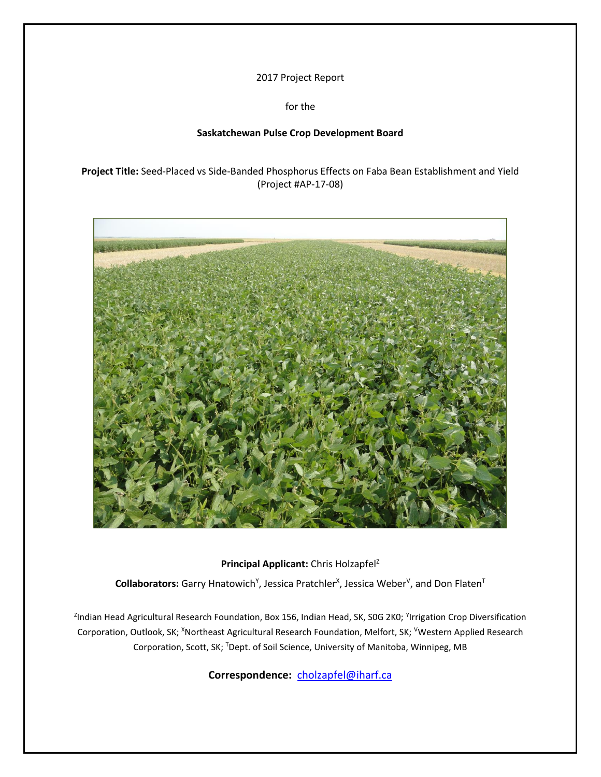2017 Project Report

for the

# **Saskatchewan Pulse Crop Development Board**

**Project Title:** Seed-Placed vs Side-Banded Phosphorus Effects on Faba Bean Establishment and Yield (Project #AP-17-08)



Principal Applicant: Chris Holzapfel<sup>Z</sup>

Collaborators: Garry Hnatowich<sup>Y</sup>, Jessica Pratchler<sup>x</sup>, Jessica Weber<sup>v</sup>, and Don Flaten<sup>T</sup>

<sup>z</sup>Indian Head Agricultural Research Foundation, Box 156, Indian Head, SK, S0G 2K0; <sup>Y</sup>Irrigation Crop Diversification Corporation, Outlook, SK; XNortheast Agricultural Research Foundation, Melfort, SK; VWestern Applied Research Corporation, Scott, SK; TDept. of Soil Science, University of Manitoba, Winnipeg, MB

**Correspondence:** [cholzapfel@iharf.ca](mailto:cholzapfel@iharf.ca)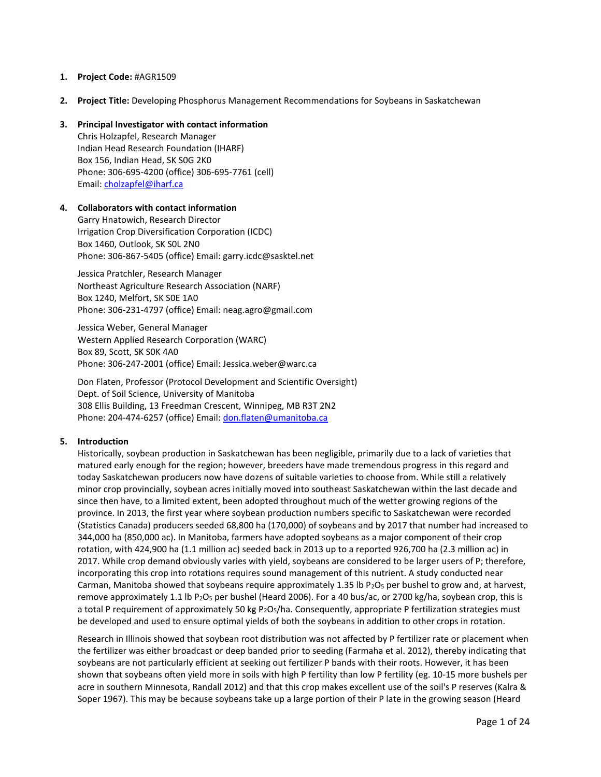## **1. Project Code:** #AGR1509

**2. Project Title:** Developing Phosphorus Management Recommendations for Soybeans in Saskatchewan

## **3. Principal Investigator with contact information**

Chris Holzapfel, Research Manager Indian Head Research Foundation (IHARF) Box 156, Indian Head, SK S0G 2K0 Phone: 306-695-4200 (office) 306-695-7761 (cell) Email: [cholzapfel@iharf.ca](mailto:cholzapfel@iharf.ca)

## **4. Collaborators with contact information**

Garry Hnatowich, Research Director Irrigation Crop Diversification Corporation (ICDC) Box 1460, Outlook, SK S0L 2N0 Phone: 306-867-5405 (office) Email: garry.icdc@sasktel.net

Jessica Pratchler, Research Manager Northeast Agriculture Research Association (NARF) Box 1240, Melfort, SK S0E 1A0 Phone: 306-231-4797 (office) Email: neag.agro@gmail.com

Jessica Weber, General Manager Western Applied Research Corporation (WARC) Box 89, Scott, SK S0K 4A0 Phone: 306-247-2001 (office) Email: Jessica.weber@warc.ca

Don Flaten, Professor (Protocol Development and Scientific Oversight) Dept. of Soil Science, University of Manitoba 308 Ellis Building, 13 Freedman Crescent, Winnipeg, MB R3T 2N2 Phone: 204-474-6257 (office) Email: [don.flaten@umanitoba.ca](mailto:don.flaten@umanitoba.ca)

#### **5. Introduction**

Historically, soybean production in Saskatchewan has been negligible, primarily due to a lack of varieties that matured early enough for the region; however, breeders have made tremendous progress in this regard and today Saskatchewan producers now have dozens of suitable varieties to choose from. While still a relatively minor crop provincially, soybean acres initially moved into southeast Saskatchewan within the last decade and since then have, to a limited extent, been adopted throughout much of the wetter growing regions of the province. In 2013, the first year where soybean production numbers specific to Saskatchewan were recorded (Statistics Canada) producers seeded 68,800 ha (170,000) of soybeans and by 2017 that number had increased to 344,000 ha (850,000 ac). In Manitoba, farmers have adopted soybeans as a major component of their crop rotation, with 424,900 ha (1.1 million ac) seeded back in 2013 up to a reported 926,700 ha (2.3 million ac) in 2017. While crop demand obviously varies with yield, soybeans are considered to be larger users of P; therefore, incorporating this crop into rotations requires sound management of this nutrient. A study conducted near Carman, Manitoba showed that soybeans require approximately 1.35 lb  $P_2O_5$  per bushel to grow and, at harvest, remove approximately 1.1 lb P<sub>2</sub>O<sub>5</sub> per bushel (Heard 2006). For a 40 bus/ac, or 2700 kg/ha, soybean crop, this is a total P requirement of approximately 50 kg P<sub>2</sub>O<sub>5</sub>/ha. Consequently, appropriate P fertilization strategies must be developed and used to ensure optimal yields of both the soybeans in addition to other crops in rotation.

Research in Illinois showed that soybean root distribution was not affected by P fertilizer rate or placement when the fertilizer was either broadcast or deep banded prior to seeding (Farmaha et al. 2012), thereby indicating that soybeans are not particularly efficient at seeking out fertilizer P bands with their roots. However, it has been shown that soybeans often yield more in soils with high P fertility than low P fertility (eg. 10-15 more bushels per acre in southern Minnesota, Randall 2012) and that this crop makes excellent use of the soil's P reserves (Kalra & Soper 1967). This may be because soybeans take up a large portion of their P late in the growing season (Heard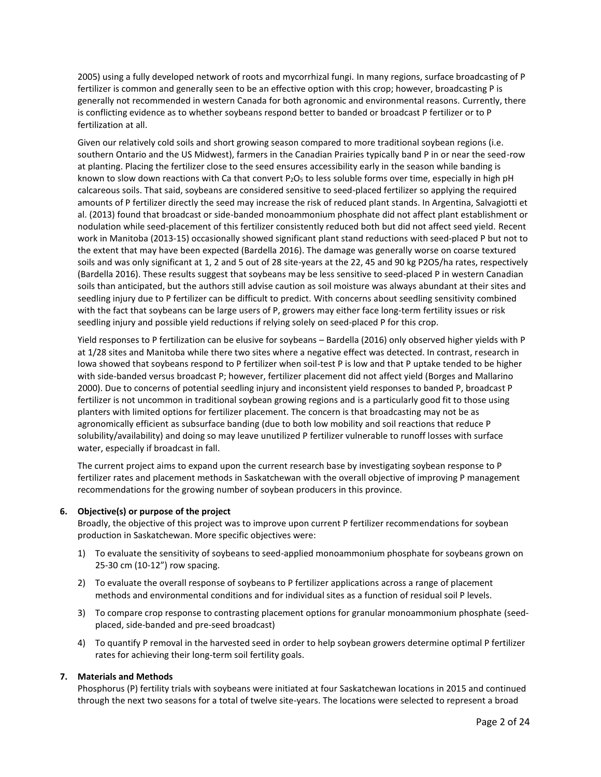2005) using a fully developed network of roots and mycorrhizal fungi. In many regions, surface broadcasting of P fertilizer is common and generally seen to be an effective option with this crop; however, broadcasting P is generally not recommended in western Canada for both agronomic and environmental reasons. Currently, there is conflicting evidence as to whether soybeans respond better to banded or broadcast P fertilizer or to P fertilization at all.

Given our relatively cold soils and short growing season compared to more traditional soybean regions (i.e. southern Ontario and the US Midwest), farmers in the Canadian Prairies typically band P in or near the seed-row at planting. Placing the fertilizer close to the seed ensures accessibility early in the season while banding is known to slow down reactions with Ca that convert P<sub>2</sub>O<sub>5</sub> to less soluble forms over time, especially in high pH calcareous soils. That said, soybeans are considered sensitive to seed-placed fertilizer so applying the required amounts of P fertilizer directly the seed may increase the risk of reduced plant stands. In Argentina, Salvagiotti et al. (2013) found that broadcast or side-banded monoammonium phosphate did not affect plant establishment or nodulation while seed-placement of this fertilizer consistently reduced both but did not affect seed yield. Recent work in Manitoba (2013-15) occasionally showed significant plant stand reductions with seed-placed P but not to the extent that may have been expected (Bardella 2016). The damage was generally worse on coarse textured soils and was only significant at 1, 2 and 5 out of 28 site-years at the 22, 45 and 90 kg P2O5/ha rates, respectively (Bardella 2016). These results suggest that soybeans may be less sensitive to seed-placed P in western Canadian soils than anticipated, but the authors still advise caution as soil moisture was always abundant at their sites and seedling injury due to P fertilizer can be difficult to predict. With concerns about seedling sensitivity combined with the fact that soybeans can be large users of P, growers may either face long-term fertility issues or risk seedling injury and possible yield reductions if relying solely on seed-placed P for this crop.

Yield responses to P fertilization can be elusive for soybeans – Bardella (2016) only observed higher yields with P at 1/28 sites and Manitoba while there two sites where a negative effect was detected. In contrast, research in Iowa showed that soybeans respond to P fertilizer when soil-test P is low and that P uptake tended to be higher with side-banded versus broadcast P; however, fertilizer placement did not affect yield (Borges and Mallarino 2000). Due to concerns of potential seedling injury and inconsistent yield responses to banded P, broadcast P fertilizer is not uncommon in traditional soybean growing regions and is a particularly good fit to those using planters with limited options for fertilizer placement. The concern is that broadcasting may not be as agronomically efficient as subsurface banding (due to both low mobility and soil reactions that reduce P solubility/availability) and doing so may leave unutilized P fertilizer vulnerable to runoff losses with surface water, especially if broadcast in fall.

The current project aims to expand upon the current research base by investigating soybean response to P fertilizer rates and placement methods in Saskatchewan with the overall objective of improving P management recommendations for the growing number of soybean producers in this province.

## **6. Objective(s) or purpose of the project**

Broadly, the objective of this project was to improve upon current P fertilizer recommendations for soybean production in Saskatchewan. More specific objectives were:

- 1) To evaluate the sensitivity of soybeans to seed-applied monoammonium phosphate for soybeans grown on 25-30 cm (10-12") row spacing.
- 2) To evaluate the overall response of soybeans to P fertilizer applications across a range of placement methods and environmental conditions and for individual sites as a function of residual soil P levels.
- 3) To compare crop response to contrasting placement options for granular monoammonium phosphate (seedplaced, side-banded and pre-seed broadcast)
- 4) To quantify P removal in the harvested seed in order to help soybean growers determine optimal P fertilizer rates for achieving their long-term soil fertility goals.

#### **7. Materials and Methods**

Phosphorus (P) fertility trials with soybeans were initiated at four Saskatchewan locations in 2015 and continued through the next two seasons for a total of twelve site-years. The locations were selected to represent a broad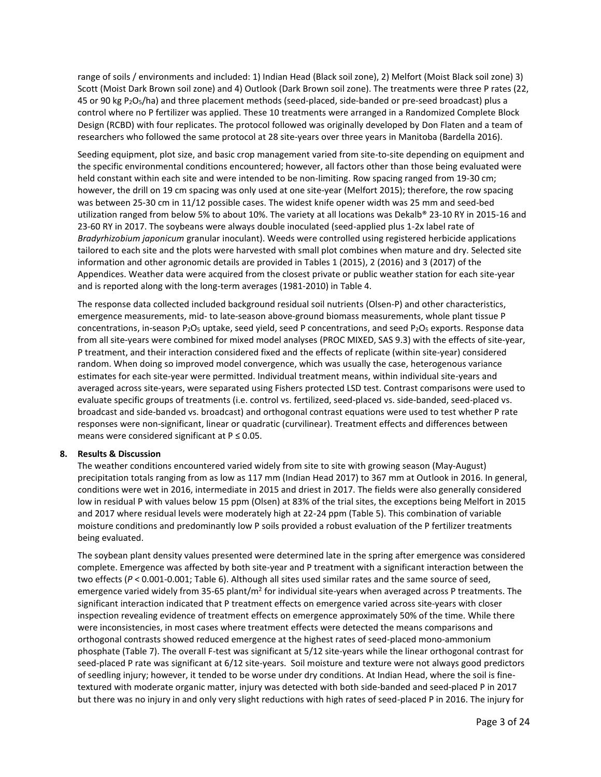range of soils / environments and included: 1) Indian Head (Black soil zone), 2) Melfort (Moist Black soil zone) 3) Scott (Moist Dark Brown soil zone) and 4) Outlook (Dark Brown soil zone). The treatments were three P rates (22, 45 or 90 kg P2O5/ha) and three placement methods (seed-placed, side-banded or pre-seed broadcast) plus a control where no P fertilizer was applied. These 10 treatments were arranged in a Randomized Complete Block Design (RCBD) with four replicates. The protocol followed was originally developed by Don Flaten and a team of researchers who followed the same protocol at 28 site-years over three years in Manitoba (Bardella 2016).

Seeding equipment, plot size, and basic crop management varied from site-to-site depending on equipment and the specific environmental conditions encountered; however, all factors other than those being evaluated were held constant within each site and were intended to be non-limiting. Row spacing ranged from 19-30 cm; however, the drill on 19 cm spacing was only used at one site-year (Melfort 2015); therefore, the row spacing was between 25-30 cm in 11/12 possible cases. The widest knife opener width was 25 mm and seed-bed utilization ranged from below 5% to about 10%. The variety at all locations was Dekalb® 23-10 RY in 2015-16 and 23-60 RY in 2017. The soybeans were always double inoculated (seed-applied plus 1-2x label rate of *Bradyrhizobium japonicum* granular inoculant). Weeds were controlled using registered herbicide applications tailored to each site and the plots were harvested with small plot combines when mature and dry. Selected site information and other agronomic details are provided in Tables 1 (2015), 2 (2016) and 3 (2017) of the Appendices. Weather data were acquired from the closest private or public weather station for each site-year and is reported along with the long-term averages (1981-2010) in Table 4.

The response data collected included background residual soil nutrients (Olsen-P) and other characteristics, emergence measurements, mid- to late-season above-ground biomass measurements, whole plant tissue P concentrations, in-season P<sub>2</sub>O<sub>5</sub> uptake, seed yield, seed P concentrations, and seed P<sub>2</sub>O<sub>5</sub> exports. Response data from all site-years were combined for mixed model analyses (PROC MIXED, SAS 9.3) with the effects of site-year, P treatment, and their interaction considered fixed and the effects of replicate (within site-year) considered random. When doing so improved model convergence, which was usually the case, heterogenous variance estimates for each site-year were permitted. Individual treatment means, within individual site-years and averaged across site-years, were separated using Fishers protected LSD test. Contrast comparisons were used to evaluate specific groups of treatments (i.e. control vs. fertilized, seed-placed vs. side-banded, seed-placed vs. broadcast and side-banded vs. broadcast) and orthogonal contrast equations were used to test whether P rate responses were non-significant, linear or quadratic (curvilinear). Treatment effects and differences between means were considered significant at  $P \le 0.05$ .

## **8. Results & Discussion**

The weather conditions encountered varied widely from site to site with growing season (May-August) precipitation totals ranging from as low as 117 mm (Indian Head 2017) to 367 mm at Outlook in 2016. In general, conditions were wet in 2016, intermediate in 2015 and driest in 2017. The fields were also generally considered low in residual P with values below 15 ppm (Olsen) at 83% of the trial sites, the exceptions being Melfort in 2015 and 2017 where residual levels were moderately high at 22-24 ppm (Table 5). This combination of variable moisture conditions and predominantly low P soils provided a robust evaluation of the P fertilizer treatments being evaluated.

The soybean plant density values presented were determined late in the spring after emergence was considered complete. Emergence was affected by both site-year and P treatment with a significant interaction between the two effects (*P* < 0.001-0.001; Table 6). Although all sites used similar rates and the same source of seed, emergence varied widely from 35-65 plant/m<sup>2</sup> for individual site-years when averaged across P treatments. The significant interaction indicated that P treatment effects on emergence varied across site-years with closer inspection revealing evidence of treatment effects on emergence approximately 50% of the time. While there were inconsistencies, in most cases where treatment effects were detected the means comparisons and orthogonal contrasts showed reduced emergence at the highest rates of seed-placed mono-ammonium phosphate (Table 7). The overall F-test was significant at 5/12 site-years while the linear orthogonal contrast for seed-placed P rate was significant at 6/12 site-years. Soil moisture and texture were not always good predictors of seedling injury; however, it tended to be worse under dry conditions. At Indian Head, where the soil is finetextured with moderate organic matter, injury was detected with both side-banded and seed-placed P in 2017 but there was no injury in and only very slight reductions with high rates of seed-placed P in 2016. The injury for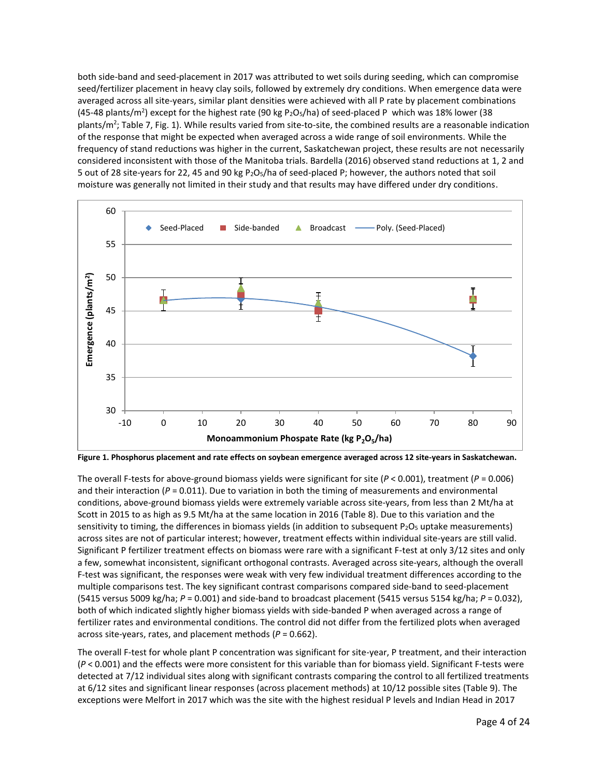both side-band and seed-placement in 2017 was attributed to wet soils during seeding, which can compromise seed/fertilizer placement in heavy clay soils, followed by extremely dry conditions. When emergence data were averaged across all site-years, similar plant densities were achieved with all P rate by placement combinations (45-48 plants/m<sup>2</sup>) except for the highest rate (90 kg P<sub>2</sub>O<sub>5</sub>/ha) of seed-placed P which was 18% lower (38 plants/m<sup>2</sup>; Table 7, Fig. 1). While results varied from site-to-site, the combined results are a reasonable indication of the response that might be expected when averaged across a wide range of soil environments. While the frequency of stand reductions was higher in the current, Saskatchewan project, these results are not necessarily considered inconsistent with those of the Manitoba trials. Bardella (2016) observed stand reductions at 1, 2 and 5 out of 28 site-years for 22, 45 and 90 kg P2O5/ha of seed-placed P; however, the authors noted that soil moisture was generally not limited in their study and that results may have differed under dry conditions.



**Figure 1. Phosphorus placement and rate effects on soybean emergence averaged across 12 site-years in Saskatchewan.**

The overall F-tests for above-ground biomass yields were significant for site  $(P < 0.001)$ , treatment  $(P = 0.006)$ and their interaction ( $P = 0.011$ ). Due to variation in both the timing of measurements and environmental conditions, above-ground biomass yields were extremely variable across site-years, from less than 2 Mt/ha at Scott in 2015 to as high as 9.5 Mt/ha at the same location in 2016 (Table 8). Due to this variation and the sensitivity to timing, the differences in biomass yields (in addition to subsequent P2O<sub>5</sub> uptake measurements) across sites are not of particular interest; however, treatment effects within individual site-years are still valid. Significant P fertilizer treatment effects on biomass were rare with a significant F-test at only 3/12 sites and only a few, somewhat inconsistent, significant orthogonal contrasts. Averaged across site-years, although the overall F-test was significant, the responses were weak with very few individual treatment differences according to the multiple comparisons test. The key significant contrast comparisons compared side-band to seed-placement (5415 versus 5009 kg/ha; *P* = 0.001) and side-band to broadcast placement (5415 versus 5154 kg/ha; *P* = 0.032), both of which indicated slightly higher biomass yields with side-banded P when averaged across a range of fertilizer rates and environmental conditions. The control did not differ from the fertilized plots when averaged across site-years, rates, and placement methods (*P* = 0.662).

The overall F-test for whole plant P concentration was significant for site-year, P treatment, and their interaction (*P* < 0.001) and the effects were more consistent for this variable than for biomass yield. Significant F-tests were detected at 7/12 individual sites along with significant contrasts comparing the control to all fertilized treatments at 6/12 sites and significant linear responses (across placement methods) at 10/12 possible sites (Table 9). The exceptions were Melfort in 2017 which was the site with the highest residual P levels and Indian Head in 2017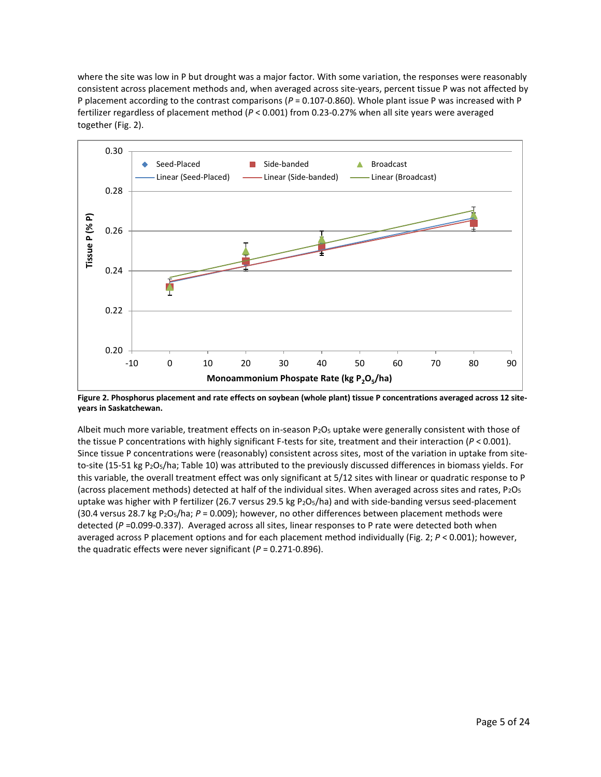where the site was low in P but drought was a major factor. With some variation, the responses were reasonably consistent across placement methods and, when averaged across site-years, percent tissue P was not affected by P placement according to the contrast comparisons (*P* = 0.107-0.860). Whole plant issue P was increased with P fertilizer regardless of placement method (*P* < 0.001) from 0.23-0.27% when all site years were averaged together (Fig. 2).



**Figure 2. Phosphorus placement and rate effects on soybean (whole plant) tissue P concentrations averaged across 12 siteyears in Saskatchewan.**

Albeit much more variable, treatment effects on in-season  $P_2O_5$  uptake were generally consistent with those of the tissue P concentrations with highly significant F-tests for site, treatment and their interaction (*P* < 0.001). Since tissue P concentrations were (reasonably) consistent across sites, most of the variation in uptake from siteto-site (15-51 kg P2O5/ha; Table 10) was attributed to the previously discussed differences in biomass yields. For this variable, the overall treatment effect was only significant at 5/12 sites with linear or quadratic response to P (across placement methods) detected at half of the individual sites. When averaged across sites and rates,  $P_2O_5$ uptake was higher with P fertilizer (26.7 versus 29.5 kg P<sub>2</sub>O<sub>5</sub>/ha) and with side-banding versus seed-placement (30.4 versus 28.7 kg P2O5/ha; *P* = 0.009); however, no other differences between placement methods were detected (*P* =0.099-0.337). Averaged across all sites, linear responses to P rate were detected both when averaged across P placement options and for each placement method individually (Fig. 2; *P* < 0.001); however, the quadratic effects were never significant (*P* = 0.271-0.896).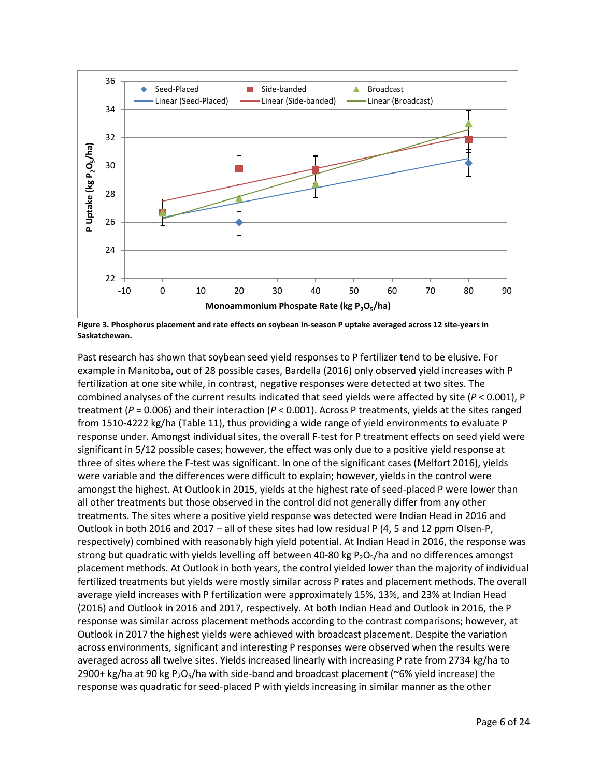

**Figure 3. Phosphorus placement and rate effects on soybean in-season P uptake averaged across 12 site-years in Saskatchewan.**

Past research has shown that soybean seed yield responses to P fertilizer tend to be elusive. For example in Manitoba, out of 28 possible cases, Bardella (2016) only observed yield increases with P fertilization at one site while, in contrast, negative responses were detected at two sites. The combined analyses of the current results indicated that seed yields were affected by site (*P* < 0.001), P treatment (*P* = 0.006) and their interaction (*P* < 0.001). Across P treatments, yields at the sites ranged from 1510-4222 kg/ha (Table 11), thus providing a wide range of yield environments to evaluate P response under. Amongst individual sites, the overall F-test for P treatment effects on seed yield were significant in 5/12 possible cases; however, the effect was only due to a positive yield response at three of sites where the F-test was significant. In one of the significant cases (Melfort 2016), yields were variable and the differences were difficult to explain; however, yields in the control were amongst the highest. At Outlook in 2015, yields at the highest rate of seed-placed P were lower than all other treatments but those observed in the control did not generally differ from any other treatments. The sites where a positive yield response was detected were Indian Head in 2016 and Outlook in both 2016 and 2017 – all of these sites had low residual P (4, 5 and 12 ppm Olsen-P, respectively) combined with reasonably high yield potential. At Indian Head in 2016, the response was strong but quadratic with yields levelling off between 40-80 kg  $P_2O_5/h$ a and no differences amongst placement methods. At Outlook in both years, the control yielded lower than the majority of individual fertilized treatments but yields were mostly similar across P rates and placement methods. The overall average yield increases with P fertilization were approximately 15%, 13%, and 23% at Indian Head (2016) and Outlook in 2016 and 2017, respectively. At both Indian Head and Outlook in 2016, the P response was similar across placement methods according to the contrast comparisons; however, at Outlook in 2017 the highest yields were achieved with broadcast placement. Despite the variation across environments, significant and interesting P responses were observed when the results were averaged across all twelve sites. Yields increased linearly with increasing P rate from 2734 kg/ha to 2900+ kg/ha at 90 kg P<sub>2</sub>O<sub>5</sub>/ha with side-band and broadcast placement (~6% yield increase) the response was quadratic for seed-placed P with yields increasing in similar manner as the other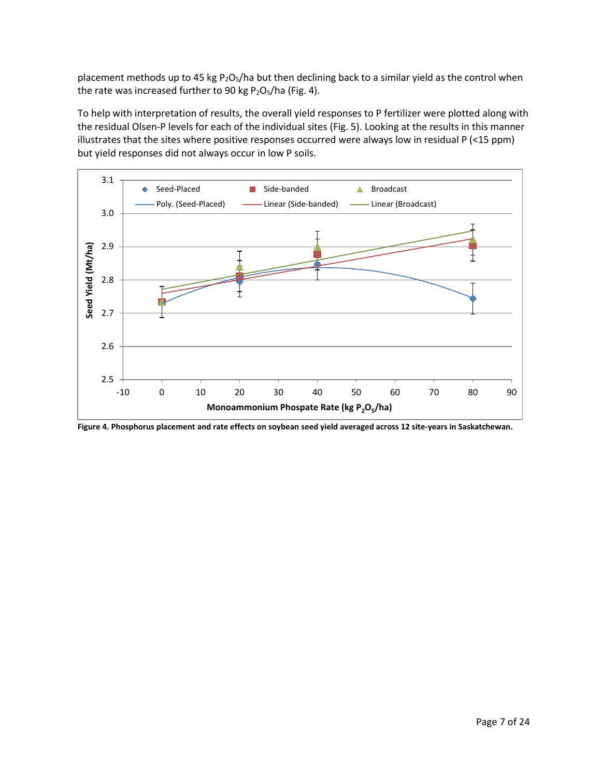placement methods up to 45 kg  $P_2O_5/ha$  but then declining back to a similar yield as the control when the rate was increased further to 90 kg  $P_2O_5/ha$  (Fig. 4).

To help with interpretation of results, the overall yield responses to P fertilizer were plotted along with the residual Olsen-P levels for each of the individual sites (Fig. 5). Looking at the results in this manner illustrates that the sites where positive responses occurred were always low in residual P (<15 ppm) but yield responses did not always occur in low P soils.



**Figure 4. Phosphorus placement and rate effects on soybean seed yield averaged across 12 site-years in Saskatchewan.**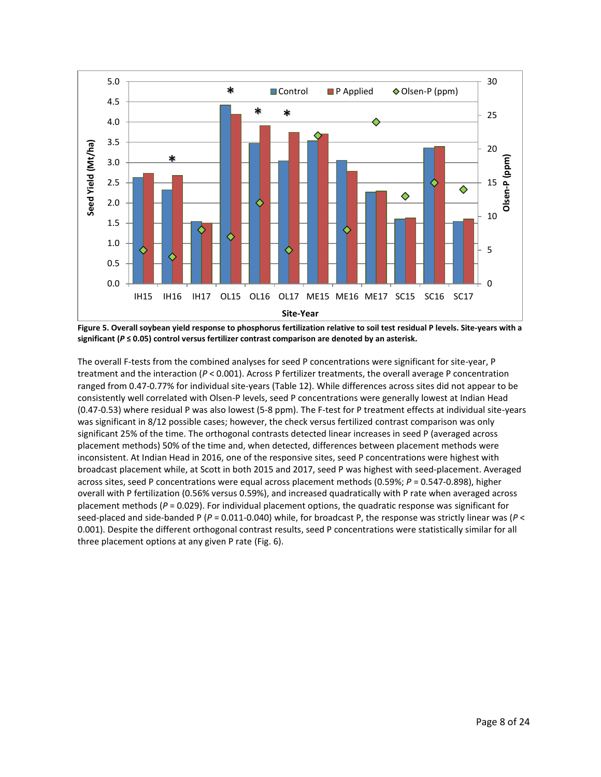

**Figure 5. Overall soybean yield response to phosphorus fertilization relative to soil test residual P levels. Site-years with a significant (***P* **≤ 0.05) control versus fertilizer contrast comparison are denoted by an asterisk.**

The overall F-tests from the combined analyses for seed P concentrations were significant for site-year, P treatment and the interaction (*P* < 0.001). Across P fertilizer treatments, the overall average P concentration ranged from 0.47-0.77% for individual site-years (Table 12). While differences across sites did not appear to be consistently well correlated with Olsen-P levels, seed P concentrations were generally lowest at Indian Head (0.47-0.53) where residual P was also lowest (5-8 ppm). The F-test for P treatment effects at individual site-years was significant in 8/12 possible cases; however, the check versus fertilized contrast comparison was only significant 25% of the time. The orthogonal contrasts detected linear increases in seed P (averaged across placement methods) 50% of the time and, when detected, differences between placement methods were inconsistent. At Indian Head in 2016, one of the responsive sites, seed P concentrations were highest with broadcast placement while, at Scott in both 2015 and 2017, seed P was highest with seed-placement. Averaged across sites, seed P concentrations were equal across placement methods (0.59%; *P* = 0.547-0.898), higher overall with P fertilization (0.56% versus 0.59%), and increased quadratically with P rate when averaged across placement methods (*P* = 0.029). For individual placement options, the quadratic response was significant for seed-placed and side-banded P (*P* = 0.011-0.040) while, for broadcast P, the response was strictly linear was (*P* < 0.001). Despite the different orthogonal contrast results, seed P concentrations were statistically similar for all three placement options at any given P rate (Fig. 6).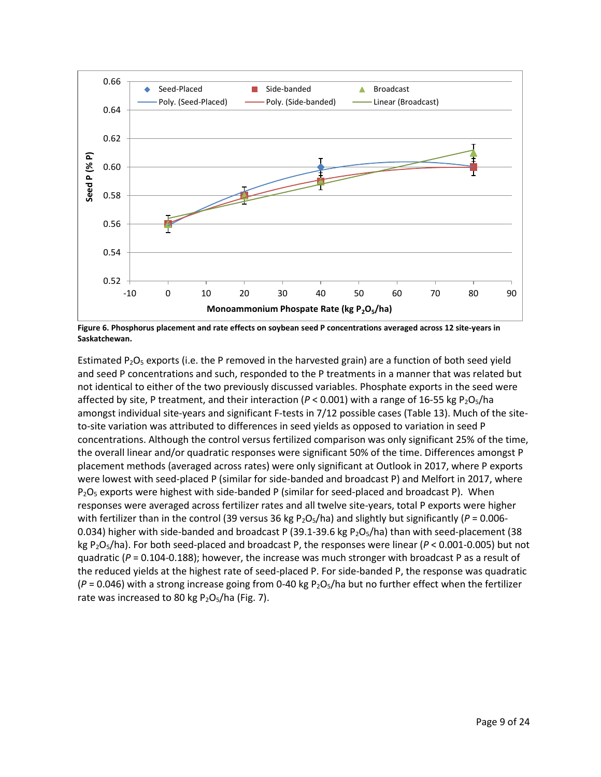

**Figure 6. Phosphorus placement and rate effects on soybean seed P concentrations averaged across 12 site-years in Saskatchewan.**

Estimated  $P_2O_5$  exports (i.e. the P removed in the harvested grain) are a function of both seed yield and seed P concentrations and such, responded to the P treatments in a manner that was related but not identical to either of the two previously discussed variables. Phosphate exports in the seed were affected by site, P treatment, and their interaction ( $P < 0.001$ ) with a range of 16-55 kg P<sub>2</sub>O<sub>5</sub>/ha amongst individual site-years and significant F-tests in 7/12 possible cases (Table 13). Much of the siteto-site variation was attributed to differences in seed yields as opposed to variation in seed P concentrations. Although the control versus fertilized comparison was only significant 25% of the time, the overall linear and/or quadratic responses were significant 50% of the time. Differences amongst P placement methods (averaged across rates) were only significant at Outlook in 2017, where P exports were lowest with seed-placed P (similar for side-banded and broadcast P) and Melfort in 2017, where  $P_2O_5$  exports were highest with side-banded P (similar for seed-placed and broadcast P). When responses were averaged across fertilizer rates and all twelve site-years, total P exports were higher with fertilizer than in the control (39 versus 36 kg P<sub>2</sub>O<sub>5</sub>/ha) and slightly but significantly ( $P = 0.006$ -0.034) higher with side-banded and broadcast P (39.1-39.6 kg  $P_2O_5/ha$ ) than with seed-placement (38 kg P2O5/ha). For both seed-placed and broadcast P, the responses were linear (*P* < 0.001-0.005) but not quadratic (*P* = 0.104-0.188); however, the increase was much stronger with broadcast P as a result of the reduced yields at the highest rate of seed-placed P. For side-banded P, the response was quadratic  $(P = 0.046)$  with a strong increase going from 0-40 kg  $P_2O_5/h$  but no further effect when the fertilizer rate was increased to 80 kg  $P_2O_5/ha$  (Fig. 7).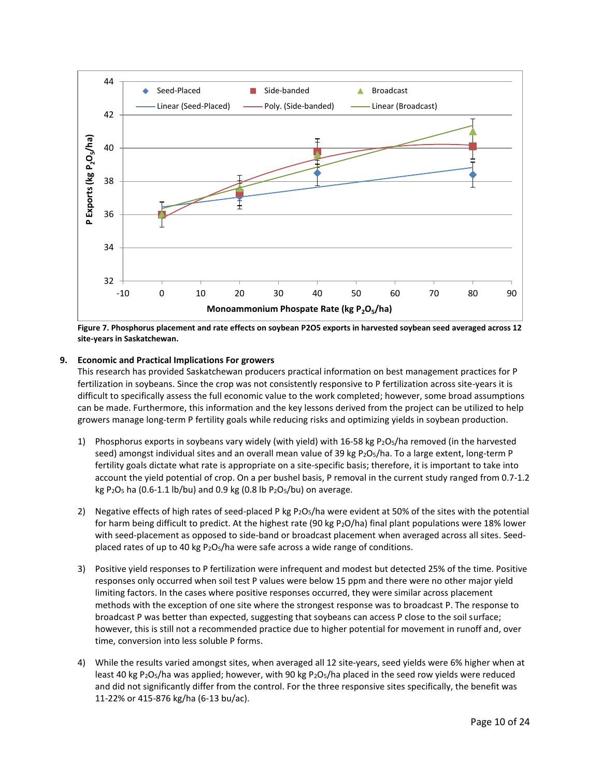

**Figure 7. Phosphorus placement and rate effects on soybean P2O5 exports in harvested soybean seed averaged across 12 site-years in Saskatchewan.**

## **9. Economic and Practical Implications For growers**

This research has provided Saskatchewan producers practical information on best management practices for P fertilization in soybeans. Since the crop was not consistently responsive to P fertilization across site-years it is difficult to specifically assess the full economic value to the work completed; however, some broad assumptions can be made. Furthermore, this information and the key lessons derived from the project can be utilized to help growers manage long-term P fertility goals while reducing risks and optimizing yields in soybean production.

- 1) Phosphorus exports in soybeans vary widely (with yield) with 16-58 kg P<sub>2</sub>O<sub>5</sub>/ha removed (in the harvested seed) amongst individual sites and an overall mean value of 39 kg P<sub>2</sub>O<sub>5</sub>/ha. To a large extent, long-term P fertility goals dictate what rate is appropriate on a site-specific basis; therefore, it is important to take into account the yield potential of crop. On a per bushel basis, P removal in the current study ranged from 0.7-1.2 kg P<sub>2</sub>O<sub>5</sub> ha (0.6-1.1 lb/bu) and 0.9 kg (0.8 lb P<sub>2</sub>O<sub>5</sub>/bu) on average.
- 2) Negative effects of high rates of seed-placed P kg P<sub>2</sub>O<sub>5</sub>/ha were evident at 50% of the sites with the potential for harm being difficult to predict. At the highest rate (90 kg P2O/ha) final plant populations were 18% lower with seed-placement as opposed to side-band or broadcast placement when averaged across all sites. Seedplaced rates of up to 40 kg P2O5/ha were safe across a wide range of conditions.
- 3) Positive yield responses to P fertilization were infrequent and modest but detected 25% of the time. Positive responses only occurred when soil test P values were below 15 ppm and there were no other major yield limiting factors. In the cases where positive responses occurred, they were similar across placement methods with the exception of one site where the strongest response was to broadcast P. The response to broadcast P was better than expected, suggesting that soybeans can access P close to the soil surface; however, this is still not a recommended practice due to higher potential for movement in runoff and, over time, conversion into less soluble P forms.
- 4) While the results varied amongst sites, when averaged all 12 site-years, seed yields were 6% higher when at least 40 kg P<sub>2</sub>O<sub>5</sub>/ha was applied; however, with 90 kg P<sub>2</sub>O<sub>5</sub>/ha placed in the seed row yields were reduced and did not significantly differ from the control. For the three responsive sites specifically, the benefit was 11-22% or 415-876 kg/ha (6-13 bu/ac).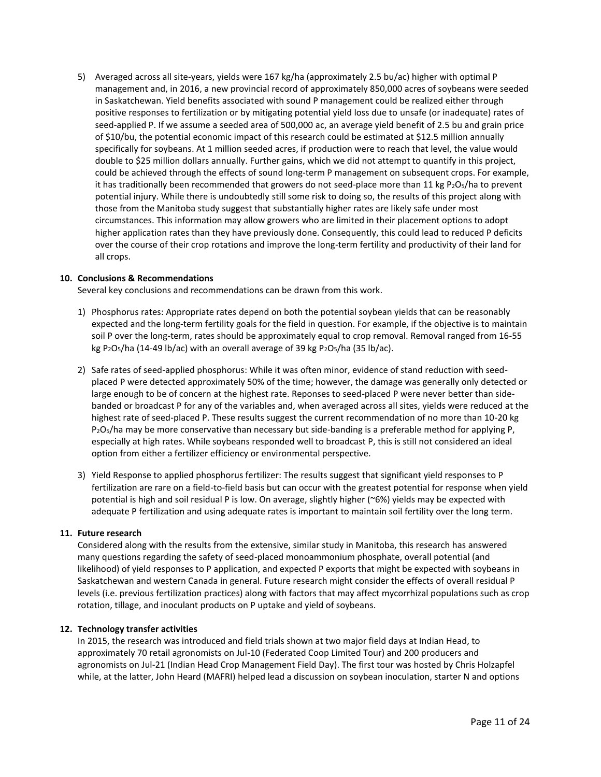5) Averaged across all site-years, yields were 167 kg/ha (approximately 2.5 bu/ac) higher with optimal P management and, in 2016, a new provincial record of approximately 850,000 acres of soybeans were seeded in Saskatchewan. Yield benefits associated with sound P management could be realized either through positive responses to fertilization or by mitigating potential yield loss due to unsafe (or inadequate) rates of seed-applied P. If we assume a seeded area of 500,000 ac, an average yield benefit of 2.5 bu and grain price of \$10/bu, the potential economic impact of this research could be estimated at \$12.5 million annually specifically for soybeans. At 1 million seeded acres, if production were to reach that level, the value would double to \$25 million dollars annually. Further gains, which we did not attempt to quantify in this project, could be achieved through the effects of sound long-term P management on subsequent crops. For example, it has traditionally been recommended that growers do not seed-place more than 11 kg  $P_2O_5/h$ a to prevent potential injury. While there is undoubtedly still some risk to doing so, the results of this project along with those from the Manitoba study suggest that substantially higher rates are likely safe under most circumstances. This information may allow growers who are limited in their placement options to adopt higher application rates than they have previously done. Consequently, this could lead to reduced P deficits over the course of their crop rotations and improve the long-term fertility and productivity of their land for all crops.

#### **10. Conclusions & Recommendations**

Several key conclusions and recommendations can be drawn from this work.

- 1) Phosphorus rates: Appropriate rates depend on both the potential soybean yields that can be reasonably expected and the long-term fertility goals for the field in question. For example, if the objective is to maintain soil P over the long-term, rates should be approximately equal to crop removal. Removal ranged from 16-55 kg P<sub>2</sub>O<sub>5</sub>/ha (14-49 lb/ac) with an overall average of 39 kg P<sub>2</sub>O<sub>5</sub>/ha (35 lb/ac).
- 2) Safe rates of seed-applied phosphorus: While it was often minor, evidence of stand reduction with seedplaced P were detected approximately 50% of the time; however, the damage was generally only detected or large enough to be of concern at the highest rate. Reponses to seed-placed P were never better than sidebanded or broadcast P for any of the variables and, when averaged across all sites, yields were reduced at the highest rate of seed-placed P. These results suggest the current recommendation of no more than 10-20 kg  $P_2O_5/h$ a may be more conservative than necessary but side-banding is a preferable method for applying P, especially at high rates. While soybeans responded well to broadcast P, this is still not considered an ideal option from either a fertilizer efficiency or environmental perspective.
- 3) Yield Response to applied phosphorus fertilizer: The results suggest that significant yield responses to P fertilization are rare on a field-to-field basis but can occur with the greatest potential for response when yield potential is high and soil residual P is low. On average, slightly higher (~6%) yields may be expected with adequate P fertilization and using adequate rates is important to maintain soil fertility over the long term.

#### **11. Future research**

Considered along with the results from the extensive, similar study in Manitoba, this research has answered many questions regarding the safety of seed-placed monoammonium phosphate, overall potential (and likelihood) of yield responses to P application, and expected P exports that might be expected with soybeans in Saskatchewan and western Canada in general. Future research might consider the effects of overall residual P levels (i.e. previous fertilization practices) along with factors that may affect mycorrhizal populations such as crop rotation, tillage, and inoculant products on P uptake and yield of soybeans.

#### **12. Technology transfer activities**

In 2015, the research was introduced and field trials shown at two major field days at Indian Head, to approximately 70 retail agronomists on Jul-10 (Federated Coop Limited Tour) and 200 producers and agronomists on Jul-21 (Indian Head Crop Management Field Day). The first tour was hosted by Chris Holzapfel while, at the latter, John Heard (MAFRI) helped lead a discussion on soybean inoculation, starter N and options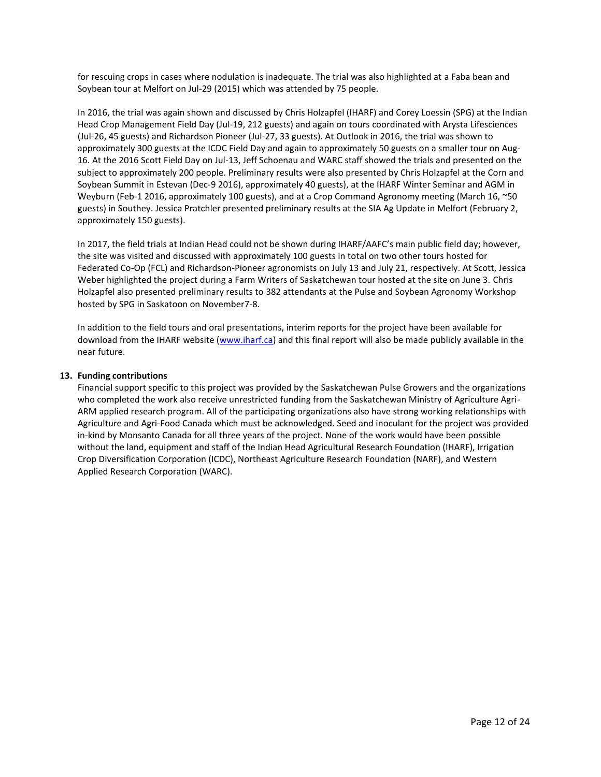for rescuing crops in cases where nodulation is inadequate. The trial was also highlighted at a Faba bean and Soybean tour at Melfort on Jul-29 (2015) which was attended by 75 people.

In 2016, the trial was again shown and discussed by Chris Holzapfel (IHARF) and Corey Loessin (SPG) at the Indian Head Crop Management Field Day (Jul-19, 212 guests) and again on tours coordinated with Arysta Lifesciences (Jul-26, 45 guests) and Richardson Pioneer (Jul-27, 33 guests). At Outlook in 2016, the trial was shown to approximately 300 guests at the ICDC Field Day and again to approximately 50 guests on a smaller tour on Aug-16. At the 2016 Scott Field Day on Jul-13, Jeff Schoenau and WARC staff showed the trials and presented on the subject to approximately 200 people. Preliminary results were also presented by Chris Holzapfel at the Corn and Soybean Summit in Estevan (Dec-9 2016), approximately 40 guests), at the IHARF Winter Seminar and AGM in Weyburn (Feb-1 2016, approximately 100 guests), and at a Crop Command Agronomy meeting (March 16, ~50 guests) in Southey. Jessica Pratchler presented preliminary results at the SIA Ag Update in Melfort (February 2, approximately 150 guests).

In 2017, the field trials at Indian Head could not be shown during IHARF/AAFC's main public field day; however, the site was visited and discussed with approximately 100 guests in total on two other tours hosted for Federated Co-Op (FCL) and Richardson-Pioneer agronomists on July 13 and July 21, respectively. At Scott, Jessica Weber highlighted the project during a Farm Writers of Saskatchewan tour hosted at the site on June 3. Chris Holzapfel also presented preliminary results to 382 attendants at the Pulse and Soybean Agronomy Workshop hosted by SPG in Saskatoon on November7-8.

In addition to the field tours and oral presentations, interim reports for the project have been available for download from the IHARF website [\(www.iharf.ca\)](http://www.iharf.ca/) and this final report will also be made publicly available in the near future.

#### **13. Funding contributions**

Financial support specific to this project was provided by the Saskatchewan Pulse Growers and the organizations who completed the work also receive unrestricted funding from the Saskatchewan Ministry of Agriculture Agri-ARM applied research program. All of the participating organizations also have strong working relationships with Agriculture and Agri-Food Canada which must be acknowledged. Seed and inoculant for the project was provided in-kind by Monsanto Canada for all three years of the project. None of the work would have been possible without the land, equipment and staff of the Indian Head Agricultural Research Foundation (IHARF), Irrigation Crop Diversification Corporation (ICDC), Northeast Agriculture Research Foundation (NARF), and Western Applied Research Corporation (WARC).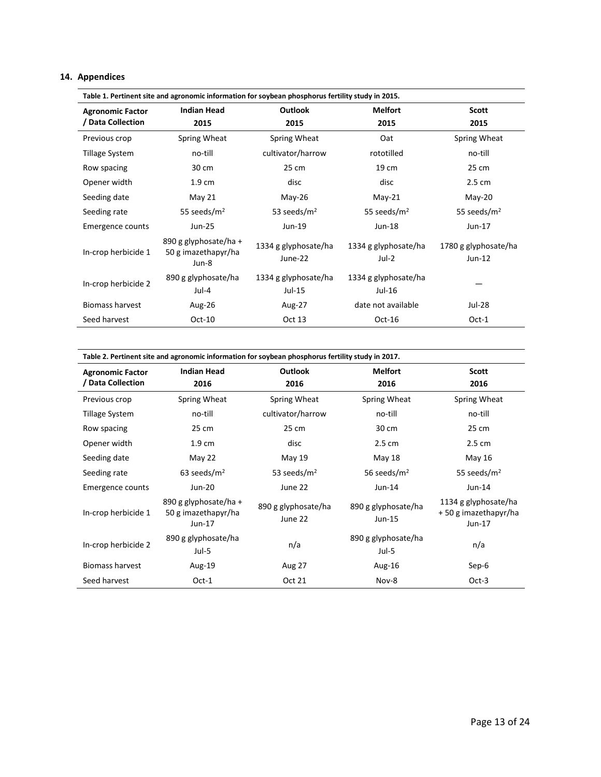# **14. Appendices**

| Table 1. Pertinent site and agronomic information for soybean phosphorus fertility study in 2015. |                                              |                                 |                               |                                  |  |  |  |  |  |  |
|---------------------------------------------------------------------------------------------------|----------------------------------------------|---------------------------------|-------------------------------|----------------------------------|--|--|--|--|--|--|
| <b>Agronomic Factor</b>                                                                           | <b>Indian Head</b>                           | <b>Outlook</b>                  | <b>Melfort</b>                | <b>Scott</b>                     |  |  |  |  |  |  |
| / Data Collection                                                                                 | 2015                                         | 2015                            | 2015                          | 2015                             |  |  |  |  |  |  |
| Previous crop                                                                                     | Spring Wheat                                 | Spring Wheat                    | Oat                           | Spring Wheat                     |  |  |  |  |  |  |
| Tillage System                                                                                    | no-till                                      | cultivator/harrow               | rototilled                    | no-till                          |  |  |  |  |  |  |
| Row spacing                                                                                       | 30 cm                                        | 25 cm                           | 19 cm                         | 25 cm                            |  |  |  |  |  |  |
| Opener width                                                                                      | 1.9 <sub>cm</sub>                            | disc                            | disc                          | 2.5 cm                           |  |  |  |  |  |  |
| Seeding date                                                                                      | May 21                                       | $May-26$                        | $May-21$                      | $May-20$                         |  |  |  |  |  |  |
| Seeding rate                                                                                      | 55 seeds/ $m2$                               | 53 seeds/ $m2$                  | 55 seeds/ $m2$                | 55 seeds/ $m2$                   |  |  |  |  |  |  |
| Emergence counts                                                                                  | Jun-25                                       | Jun-19                          | Jun-18                        | Jun-17                           |  |  |  |  |  |  |
| In-crop herbicide 1                                                                               | 890 g glyphosate/ha +<br>50 g imazethapyr/ha | 1334 g glyphosate/ha<br>June-22 | 1334 g glyphosate/ha<br>Jul-2 | 1780 g glyphosate/ha<br>$Jun-12$ |  |  |  |  |  |  |
|                                                                                                   | Jun-8                                        |                                 |                               |                                  |  |  |  |  |  |  |
| In-crop herbicide 2                                                                               | 890 g glyphosate/ha                          | 1334 g glyphosate/ha            | 1334 g glyphosate/ha          |                                  |  |  |  |  |  |  |
|                                                                                                   | Jul-4                                        | $Jul-15$                        | Jul-16                        |                                  |  |  |  |  |  |  |
| <b>Biomass harvest</b>                                                                            | Aug-26                                       | Aug-27                          | date not available            | Jul-28                           |  |  |  |  |  |  |
| Seed harvest                                                                                      | $Oct-10$                                     | Oct 13                          | $Oct-16$                      | $Oct-1$                          |  |  |  |  |  |  |

| <b>Agronomic Factor</b> | <b>Indian Head</b>                                       | <b>Outlook</b>                 | <b>Melfort</b>                  | <b>Scott</b>                                             |
|-------------------------|----------------------------------------------------------|--------------------------------|---------------------------------|----------------------------------------------------------|
| <b>Data Collection</b>  | 2016                                                     | 2016                           | 2016                            | 2016                                                     |
| Previous crop           | Spring Wheat                                             | Spring Wheat                   | Spring Wheat                    | Spring Wheat                                             |
| <b>Tillage System</b>   | no-till                                                  | cultivator/harrow              | no-till                         | no-till                                                  |
| Row spacing             | 25 cm                                                    | 25 cm                          | 30 cm                           | 25 cm                                                    |
| Opener width            | $1.9 \text{ cm}$                                         | disc                           | $2.5 \text{ cm}$                | $2.5 \text{ cm}$                                         |
| Seeding date            | May 22                                                   | May 19                         | May 18                          | May 16                                                   |
| Seeding rate            | 63 seeds/ $m2$                                           | 53 seeds/ $m2$                 | 56 seeds/ $m2$                  | 55 seeds/ $m2$                                           |
| Emergence counts        | Jun-20                                                   | June 22                        | $Jun-14$                        | Jun-14                                                   |
| In-crop herbicide 1     | 890 g glyphosate/ha +<br>50 g imazethapyr/ha<br>$Jun-17$ | 890 g glyphosate/ha<br>June 22 | 890 g glyphosate/ha<br>$Jun-15$ | 1134 g glyphosate/ha<br>+50 g imazethapyr/ha<br>$Jun-17$ |
| In-crop herbicide 2     | 890 g glyphosate/ha<br>$Jul-5$                           | n/a                            | 890 g glyphosate/ha<br>Jul-5    | n/a                                                      |
| <b>Biomass harvest</b>  | Aug-19                                                   | Aug 27                         | Aug-16                          | Sep-6                                                    |
| Seed harvest            | $Oct-1$                                                  | Oct 21                         | Nov-8                           | $Oct-3$                                                  |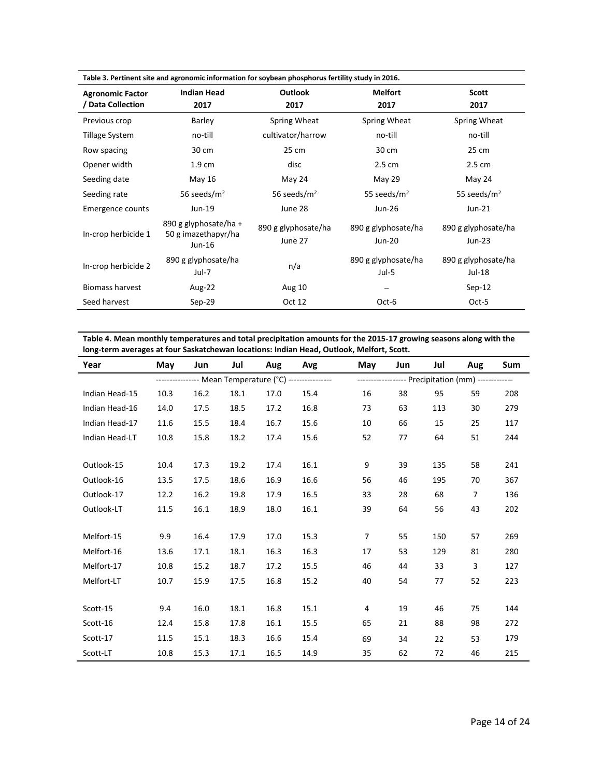| Table 3. Pertinent site and agronomic information for soybean phosphorus fertility study in 2016. |                                                        |                                |                               |                                 |  |  |  |  |  |  |  |
|---------------------------------------------------------------------------------------------------|--------------------------------------------------------|--------------------------------|-------------------------------|---------------------------------|--|--|--|--|--|--|--|
| <b>Agronomic Factor</b>                                                                           | <b>Indian Head</b>                                     | <b>Outlook</b>                 | <b>Melfort</b>                | <b>Scott</b>                    |  |  |  |  |  |  |  |
| / Data Collection                                                                                 | 2017                                                   | 2017                           | 2017                          | 2017                            |  |  |  |  |  |  |  |
| Previous crop                                                                                     | <b>Barley</b>                                          | Spring Wheat                   | Spring Wheat                  | Spring Wheat                    |  |  |  |  |  |  |  |
| Tillage System                                                                                    | no-till                                                | cultivator/harrow              | no-till                       | no-till                         |  |  |  |  |  |  |  |
| Row spacing                                                                                       | 30 cm                                                  | 25 cm                          | 30 cm                         | 25 cm                           |  |  |  |  |  |  |  |
| Opener width                                                                                      | 1.9 <sub>cm</sub>                                      | disc                           | 2.5 cm                        | 2.5 cm                          |  |  |  |  |  |  |  |
| Seeding date                                                                                      | May 16                                                 | May 24                         | May 29                        | May 24                          |  |  |  |  |  |  |  |
| Seeding rate                                                                                      | 56 seeds/m <sup>2</sup>                                | 56 seeds/ $m2$                 | 55 seeds/ $m2$                | 55 seeds/ $m2$                  |  |  |  |  |  |  |  |
| Emergence counts                                                                                  | Jun-19                                                 | June 28                        | Jun-26                        | $Jun-21$                        |  |  |  |  |  |  |  |
| In-crop herbicide 1                                                                               | 890 g glyphosate/ha +<br>50 g imazethapyr/ha<br>Jun-16 | 890 g glyphosate/ha<br>June 27 | 890 g glyphosate/ha<br>Jun-20 | 890 g glyphosate/ha<br>$Jun-23$ |  |  |  |  |  |  |  |
| In-crop herbicide 2                                                                               | 890 g glyphosate/ha<br>Jul-7                           | n/a                            | 890 g glyphosate/ha<br>Jul-5  | 890 g glyphosate/ha<br>Jul-18   |  |  |  |  |  |  |  |
| <b>Biomass harvest</b>                                                                            | Aug-22                                                 | Aug 10                         |                               | $Sep-12$                        |  |  |  |  |  |  |  |
| Seed harvest                                                                                      | $Sep-29$                                               | Oct 12                         | Oct-6                         | Oct-5                           |  |  |  |  |  |  |  |

**Table 4. Mean monthly temperatures and total precipitation amounts for the 2015-17 growing seasons along with the long-term averages at four Saskatchewan locations: Indian Head, Outlook, Melfort, Scott.** 

| Year           | May  | Jun  | Jul  | Aug  | Avg                                                    | May                                                 | Jun | Jul | Aug            | Sum |
|----------------|------|------|------|------|--------------------------------------------------------|-----------------------------------------------------|-----|-----|----------------|-----|
|                |      |      |      |      | --------------- Mean Temperature (°C) ---------------- | ------------------ Precipitation (mm) ------------- |     |     |                |     |
| Indian Head-15 | 10.3 | 16.2 | 18.1 | 17.0 | 15.4                                                   | 16                                                  | 38  | 95  | 59             | 208 |
| Indian Head-16 | 14.0 | 17.5 | 18.5 | 17.2 | 16.8                                                   | 73                                                  | 63  | 113 | 30             | 279 |
| Indian Head-17 | 11.6 | 15.5 | 18.4 | 16.7 | 15.6                                                   | 10                                                  | 66  | 15  | 25             | 117 |
| Indian Head-LT | 10.8 | 15.8 | 18.2 | 17.4 | 15.6                                                   | 52                                                  | 77  | 64  | 51             | 244 |
|                |      |      |      |      |                                                        |                                                     |     |     |                |     |
| Outlook-15     | 10.4 | 17.3 | 19.2 | 17.4 | 16.1                                                   | 9                                                   | 39  | 135 | 58             | 241 |
| Outlook-16     | 13.5 | 17.5 | 18.6 | 16.9 | 16.6                                                   | 56                                                  | 46  | 195 | 70             | 367 |
| Outlook-17     | 12.2 | 16.2 | 19.8 | 17.9 | 16.5                                                   | 33                                                  | 28  | 68  | $\overline{7}$ | 136 |
| Outlook-LT     | 11.5 | 16.1 | 18.9 | 18.0 | 16.1                                                   | 39                                                  | 64  | 56  | 43             | 202 |
|                |      |      |      |      |                                                        |                                                     |     |     |                |     |
| Melfort-15     | 9.9  | 16.4 | 17.9 | 17.0 | 15.3                                                   | 7                                                   | 55  | 150 | 57             | 269 |
| Melfort-16     | 13.6 | 17.1 | 18.1 | 16.3 | 16.3                                                   | 17                                                  | 53  | 129 | 81             | 280 |
| Melfort-17     | 10.8 | 15.2 | 18.7 | 17.2 | 15.5                                                   | 46                                                  | 44  | 33  | 3              | 127 |
| Melfort-LT     | 10.7 | 15.9 | 17.5 | 16.8 | 15.2                                                   | 40                                                  | 54  | 77  | 52             | 223 |
|                |      |      |      |      |                                                        |                                                     |     |     |                |     |
| Scott-15       | 9.4  | 16.0 | 18.1 | 16.8 | 15.1                                                   | 4                                                   | 19  | 46  | 75             | 144 |
| Scott-16       | 12.4 | 15.8 | 17.8 | 16.1 | 15.5                                                   | 65                                                  | 21  | 88  | 98             | 272 |
| Scott-17       | 11.5 | 15.1 | 18.3 | 16.6 | 15.4                                                   | 69                                                  | 34  | 22  | 53             | 179 |
| Scott-LT       | 10.8 | 15.3 | 17.1 | 16.5 | 14.9                                                   | 35                                                  | 62  | 72  | 46             | 215 |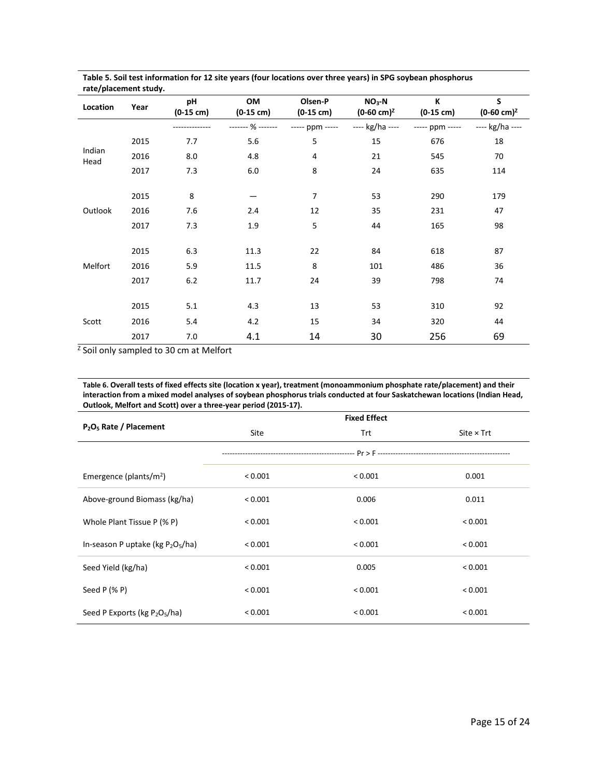| rate/placement study. |      |                           |                           |                                |                                  |                          |                            |
|-----------------------|------|---------------------------|---------------------------|--------------------------------|----------------------------------|--------------------------|----------------------------|
| Location              | Year | pH<br>$(0-15 \text{ cm})$ | OM<br>$(0-15 \text{ cm})$ | Olsen-P<br>$(0-15 \text{ cm})$ | $NO3-N$<br>$(0-60 \text{ cm})^2$ | К<br>$(0-15 \text{ cm})$ | S<br>$(0-60 \text{ cm})^2$ |
|                       |      |                           | ------- % -------         | ----- ppm -----                | ---- kg/ha ----                  | ----- ppm -----          | ---- kg/ha ----            |
|                       | 2015 | 7.7                       | 5.6                       | 5                              | 15                               | 676                      | 18                         |
| Indian<br>Head        | 2016 | 8.0                       | 4.8                       | 4                              | 21                               | 545                      | 70                         |
|                       | 2017 | 7.3                       | 6.0                       | 8                              | 24                               | 635                      | 114                        |
|                       |      |                           |                           |                                |                                  |                          |                            |
|                       | 2015 | 8                         |                           | 7                              | 53                               | 290                      | 179                        |
| Outlook               | 2016 | 7.6                       | 2.4                       | 12                             | 35                               | 231                      | 47                         |
|                       | 2017 | 7.3                       | 1.9                       | 5                              | 44                               | 165                      | 98                         |
|                       |      |                           |                           |                                |                                  |                          |                            |
|                       | 2015 | 6.3                       | 11.3                      | 22                             | 84                               | 618                      | 87                         |
| Melfort               | 2016 | 5.9                       | 11.5                      | 8                              | 101                              | 486                      | 36                         |
|                       | 2017 | 6.2                       | 11.7                      | 24                             | 39                               | 798                      | 74                         |
|                       |      |                           |                           |                                |                                  |                          |                            |
|                       | 2015 | 5.1                       | 4.3                       | 13                             | 53                               | 310                      | 92                         |
| Scott                 | 2016 | 5.4                       | 4.2                       | 15                             | 34                               | 320                      | 44                         |
|                       | 2017 | 7.0                       | 4.1                       | 14                             | 30                               | 256                      | 69                         |

**Table 5. Soil test information for 12 site years (four locations over three years) in SPG soybean phosphorus rate/placement study.** 

<sup>z</sup> Soil only sampled to 30 cm at Melfort

**Table 6. Overall tests of fixed effects site (location x year), treatment (monoammonium phosphate rate/placement) and their interaction from a mixed model analyses of soybean phosphorus trials conducted at four Saskatchewan locations (Indian Head, Outlook, Melfort and Scott) over a three-year period (2015-17).** 

|                                                |         | <b>Fixed Effect</b> |                   |
|------------------------------------------------|---------|---------------------|-------------------|
| P <sub>2</sub> O <sub>5</sub> Rate / Placement | Site    | Trt                 | Site $\times$ Trt |
|                                                |         |                     |                   |
| Emergence (plants/ $m2$ )                      | < 0.001 | < 0.001             | 0.001             |
| Above-ground Biomass (kg/ha)                   | < 0.001 | 0.006               | 0.011             |
| Whole Plant Tissue P (% P)                     | < 0.001 | < 0.001             | < 0.001           |
| In-season P uptake (kg $P_2O_5/ha$ )           | < 0.001 | < 0.001             | < 0.001           |
| Seed Yield (kg/ha)                             | < 0.001 | 0.005               | < 0.001           |
| Seed $P$ (% P)                                 | < 0.001 | < 0.001             | < 0.001           |
| Seed P Exports (kg $P_2O_5/ha$ )               | < 0.001 | < 0.001             | < 0.001           |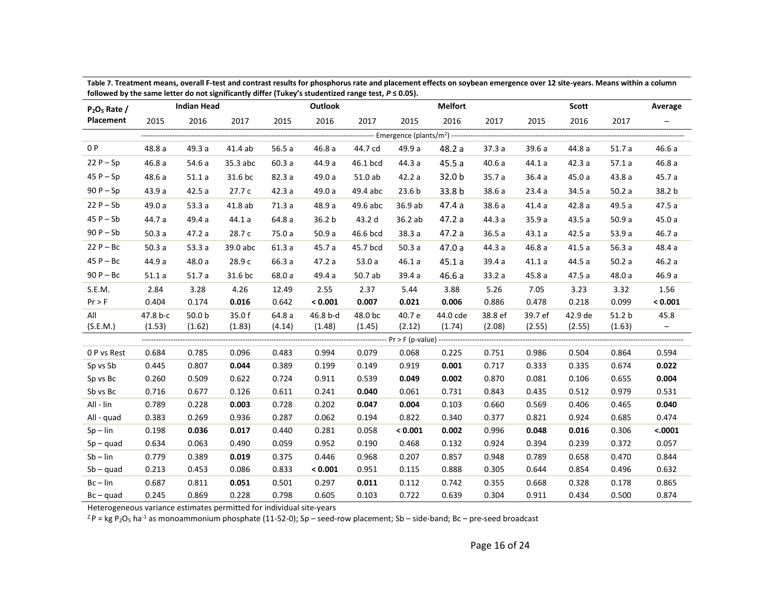| $P_2O_5$ Rate / |          | <b>Indian Head</b> |          |        | <b>Outlook</b> |          |                                                | <b>Melfort</b>    |         |         | Scott   |        | Average                  |
|-----------------|----------|--------------------|----------|--------|----------------|----------|------------------------------------------------|-------------------|---------|---------|---------|--------|--------------------------|
| Placement       | 2015     | 2016               | 2017     | 2015   | 2016           | 2017     | 2015                                           | 2016              | 2017    | 2015    | 2016    | 2017   | $\overline{\phantom{m}}$ |
|                 |          |                    |          |        |                |          | --- Emergence (plants/m <sup>2</sup> ) ------- |                   |         |         |         |        |                          |
| 0 P             | 48.8 a   | 49.3 a             | 41.4 ab  | 56.5a  | 46.8a          | 44.7 cd  | 49.9 a                                         | 48.2 a            | 37.3a   | 39.6a   | 44.8 a  | 51.7a  | 46.6a                    |
| $22P - Sp$      | 46.8a    | 54.6 a             | 35.3 abc | 60.3a  | 44.9 a         | 46.1 bcd | 44.3 a                                         | 45.5a             | 40.6a   | 44.1a   | 42.3a   | 57.1a  | 46.8 a                   |
| $45P-Sp$        | 48.6 a   | 51.1a              | 31.6 bc  | 82.3 a | 49.0 a         | 51.0 ab  | 42.2 a                                         | 32.0 b            | 35.7 a  | 36.4a   | 45.0a   | 43.8 a | 45.7 a                   |
| $90P - Sp$      | 43.9a    | 42.5a              | 27.7c    | 42.3a  | 49.0 a         | 49.4 abc | 23.6 <sub>b</sub>                              | 33.8 <sub>b</sub> | 38.6 a  | 23.4a   | 34.5 a  | 50.2a  | 38.2 b                   |
| $22P-Sb$        | 49.0 a   | 53.3a              | 41.8 ab  | 71.3a  | 48.9 a         | 49.6 abc | 36.9 ab                                        | 47.4 a            | 38.6 a  | 41.4a   | 42.8a   | 49.5 a | 47.5a                    |
| $45P-Sb$        | 44.7 a   | 49.4 a             | 44.1a    | 64.8 a | 36.2 b         | 43.2 d   | 36.2 ab                                        | 47.2 a            | 44.3 a  | 35.9 a  | 43.5a   | 50.9a  | 45.0a                    |
| $90P - Sb$      | 50.3a    | 47.2a              | 28.7 c   | 75.0 a | 50.9a          | 46.6 bcd | 38.3a                                          | 47.2 a            | 36.5 a  | 43.1a   | 42.5a   | 53.9 a | 46.7 a                   |
| $22P - BC$      | 50.3a    | 53.3a              | 39.0 abc | 61.3a  | 45.7 a         | 45.7 bcd | 50.3a                                          | 47.0a             | 44.3 a  | 46.8a   | 41.5a   | 56.3a  | 48.4 a                   |
| $45P - BC$      | 44.9 a   | 48.0 a             | 28.9 c   | 66.3 a | 47.2 a         | 53.0a    | 46.1a                                          | 45.1a             | 39.4 a  | 41.1a   | 44.5 a  | 50.2a  | 46.2 a                   |
| $90P - BC$      | 51.1a    | 51.7a              | 31.6 bc  | 68.0 a | 49.4 a         | 50.7 ab  | 39.4a                                          | 46.6a             | 33.2a   | 45.8a   | 47.5a   | 48.0 a | 46.9 a                   |
| S.E.M.          | 2.84     | 3.28               | 4.26     | 12.49  | 2.55           | 2.37     | 5.44                                           | 3.88              | 5.26    | 7.05    | 3.23    | 3.32   | 1.56                     |
| Pr > F          | 0.404    | 0.174              | 0.016    | 0.642  | < 0.001        | 0.007    | 0.021                                          | 0.006             | 0.886   | 0.478   | 0.218   | 0.099  | < 0.001                  |
| All             | 47.8 b-c | 50.0 <sub>b</sub>  | 35.0 f   | 64.8 a | 46.8 b-d       | 48.0 bc  | 40.7 e                                         | 44.0 cde          | 38.8 ef | 39.7 ef | 42.9 de | 51.2 b | 45.8                     |
| (S.E.M.)        | (1.53)   | (1.62)             | (1.83)   | (4.14) | (1.48)         | (1.45)   | (2.12)                                         | (1.74)            | (2.08)  | (2.55)  | (2.55)  | (1.63) | $\overline{\phantom{0}}$ |
|                 |          |                    |          |        |                |          |                                                |                   |         |         |         |        |                          |
| 0 P vs Rest     | 0.684    | 0.785              | 0.096    | 0.483  | 0.994          | 0.079    | 0.068                                          | 0.225             | 0.751   | 0.986   | 0.504   | 0.864  | 0.594                    |
| Sp vs Sb        | 0.445    | 0.807              | 0.044    | 0.389  | 0.199          | 0.149    | 0.919                                          | 0.001             | 0.717   | 0.333   | 0.335   | 0.674  | 0.022                    |
| Sp vs Bc        | 0.260    | 0.509              | 0.622    | 0.724  | 0.911          | 0.539    | 0.049                                          | 0.002             | 0.870   | 0.081   | 0.106   | 0.655  | 0.004                    |
| Sb vs Bc        | 0.716    | 0.677              | 0.126    | 0.611  | 0.241          | 0.040    | 0.061                                          | 0.731             | 0.843   | 0.435   | 0.512   | 0.979  | 0.531                    |
| All - lin       | 0.789    | 0.228              | 0.003    | 0.728  | 0.202          | 0.047    | 0.004                                          | 0.103             | 0.660   | 0.569   | 0.406   | 0.465  | 0.040                    |
| All - quad      | 0.383    | 0.269              | 0.936    | 0.287  | 0.062          | 0.194    | 0.822                                          | 0.340             | 0.377   | 0.821   | 0.924   | 0.685  | 0.474                    |
| $Sp - lin$      | 0.198    | 0.036              | 0.017    | 0.440  | 0.281          | 0.058    | < 0.001                                        | 0.002             | 0.996   | 0.048   | 0.016   | 0.306  | < .0001                  |
| $Sp - quad$     | 0.634    | 0.063              | 0.490    | 0.059  | 0.952          | 0.190    | 0.468                                          | 0.132             | 0.924   | 0.394   | 0.239   | 0.372  | 0.057                    |
| $Sb$ – $lin$    | 0.779    | 0.389              | 0.019    | 0.375  | 0.446          | 0.968    | 0.207                                          | 0.857             | 0.948   | 0.789   | 0.658   | 0.470  | 0.844                    |
| $Sb - quad$     | 0.213    | 0.453              | 0.086    | 0.833  | < 0.001        | 0.951    | 0.115                                          | 0.888             | 0.305   | 0.644   | 0.854   | 0.496  | 0.632                    |
| $Bc - lin$      | 0.687    | 0.811              | 0.051    | 0.501  | 0.297          | 0.011    | 0.112                                          | 0.742             | 0.355   | 0.668   | 0.328   | 0.178  | 0.865                    |
| $BC - quad$     | 0.245    | 0.869              | 0.228    | 0.798  | 0.605          | 0.103    | 0.722                                          | 0.639             | 0.304   | 0.911   | 0.434   | 0.500  | 0.874                    |

**Table 7. Treatment means, overall F-test and contrast results for phosphorus rate and placement effects on soybean emergence over 12 site-years. Means within a column**  followed by the same letter do not significantly differ (Tukey's studentized range test,  $P \le 0.05$ ).

Heterogeneous variance estimates permitted for individual site-years

 $Z^2P = kg P_2O_5$  ha<sup>-1</sup> as monoammonium phosphate (11-52-0); Sp – seed-row placement; Sb – side-band; Bc – pre-seed broadcast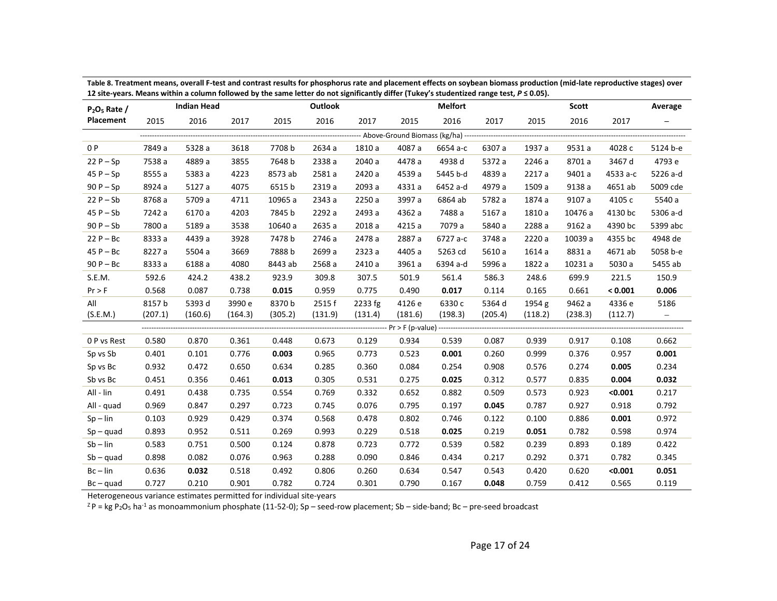| $P2O5$ Rate / |         | <b>Indian Head</b> |         |         | <b>Outlook</b> |         |         | <b>Melfort</b>                                                            |         |         | Scott   |          | Average                  |
|---------------|---------|--------------------|---------|---------|----------------|---------|---------|---------------------------------------------------------------------------|---------|---------|---------|----------|--------------------------|
| Placement     | 2015    | 2016               | 2017    | 2015    | 2016           | 2017    | 2015    | 2016                                                                      | 2017    | 2015    | 2016    | 2017     | $\qquad \qquad -$        |
|               |         |                    |         |         |                |         |         | --------------------    Above-Ground Biomass (kg/ha) -------------------- |         |         |         |          |                          |
| 0 P           | 7849 a  | 5328 a             | 3618    | 7708 b  | 2634 a         | 1810 a  | 4087 a  | 6654 a-c                                                                  | 6307 a  | 1937 a  | 9531 a  | 4028 c   | 5124 b-e                 |
| $22P - Sp$    | 7538 a  | 4889 a             | 3855    | 7648 b  | 2338 a         | 2040 a  | 4478 a  | 4938 d                                                                    | 5372 a  | 2246 a  | 8701 a  | 3467 d   | 4793 e                   |
| $45P-Sp$      | 8555 a  | 5383 a             | 4223    | 8573 ab | 2581 a         | 2420 a  | 4539 a  | 5445 b-d                                                                  | 4839 a  | 2217 a  | 9401 a  | 4533 a-c | 5226 a-d                 |
| $90P - Sp$    | 8924 a  | 5127 a             | 4075    | 6515 b  | 2319 a         | 2093 a  | 4331 a  | 6452 a-d                                                                  | 4979 a  | 1509 a  | 9138 a  | 4651 ab  | 5009 cde                 |
| $22P - Sb$    | 8768 a  | 5709 a             | 4711    | 10965 a | 2343 a         | 2250 a  | 3997 a  | 6864 ab                                                                   | 5782 a  | 1874 a  | 9107 a  | 4105 c   | 5540 a                   |
| $45P-Sb$      | 7242 a  | 6170 a             | 4203    | 7845 b  | 2292 a         | 2493 a  | 4362 a  | 7488 a                                                                    | 5167 a  | 1810 a  | 10476 a | 4130 bc  | 5306 a-d                 |
| $90P - Sb$    | 7800 a  | 5189 a             | 3538    | 10640 a | 2635 a         | 2018 a  | 4215 a  | 7079 a                                                                    | 5840 a  | 2288 a  | 9162 a  | 4390 bc  | 5399 abc                 |
| $22P - BC$    | 8333 a  | 4439 a             | 3928    | 7478 b  | 2746 a         | 2478 a  | 2887 a  | 6727 a-c                                                                  | 3748 a  | 2220 a  | 10039 a | 4355 bc  | 4948 de                  |
| $45P - BC$    | 8227 a  | 5504 a             | 3669    | 7888b   | 2699 a         | 2323 a  | 4405 a  | 5263 cd                                                                   | 5610 a  | 1614 a  | 8831 a  | 4671 ab  | 5058 b-e                 |
| $90P - BC$    | 8333 a  | 6188 a             | 4080    | 8443 ab | 2568 a         | 2410 a  | 3961 a  | 6394 a-d                                                                  | 5996 a  | 1822 a  | 10231 a | 5030 a   | 5455 ab                  |
| S.E.M.        | 592.6   | 424.2              | 438.2   | 923.9   | 309.8          | 307.5   | 501.9   | 561.4                                                                     | 586.3   | 248.6   | 699.9   | 221.5    | 150.9                    |
| $Pr$ > F      | 0.568   | 0.087              | 0.738   | 0.015   | 0.959          | 0.775   | 0.490   | 0.017                                                                     | 0.114   | 0.165   | 0.661   | < 0.001  | 0.006                    |
| All           | 8157 b  | 5393 d             | 3990 e  | 8370b   | 2515f          | 2233 fg | 4126 e  | 6330 c                                                                    | 5364 d  | 1954 g  | 9462 a  | 4336 e   | 5186                     |
| (S.E.M.)      | (207.1) | (160.6)            | (164.3) | (305.2) | (131.9)        | (131.4) | (181.6) | (198.3)                                                                   | (205.4) | (118.2) | (238.3) | (112.7)  | $\overline{\phantom{m}}$ |
|               |         |                    |         |         |                |         |         |                                                                           |         |         |         |          |                          |
| 0 P vs Rest   | 0.580   | 0.870              | 0.361   | 0.448   | 0.673          | 0.129   | 0.934   | 0.539                                                                     | 0.087   | 0.939   | 0.917   | 0.108    | 0.662                    |
| Sp vs Sb      | 0.401   | 0.101              | 0.776   | 0.003   | 0.965          | 0.773   | 0.523   | 0.001                                                                     | 0.260   | 0.999   | 0.376   | 0.957    | 0.001                    |
| Sp vs Bc      | 0.932   | 0.472              | 0.650   | 0.634   | 0.285          | 0.360   | 0.084   | 0.254                                                                     | 0.908   | 0.576   | 0.274   | 0.005    | 0.234                    |
| Sb vs Bc      | 0.451   | 0.356              | 0.461   | 0.013   | 0.305          | 0.531   | 0.275   | 0.025                                                                     | 0.312   | 0.577   | 0.835   | 0.004    | 0.032                    |
| All - lin     | 0.491   | 0.438              | 0.735   | 0.554   | 0.769          | 0.332   | 0.652   | 0.882                                                                     | 0.509   | 0.573   | 0.923   | < 0.001  | 0.217                    |
| All - quad    | 0.969   | 0.847              | 0.297   | 0.723   | 0.745          | 0.076   | 0.795   | 0.197                                                                     | 0.045   | 0.787   | 0.927   | 0.918    | 0.792                    |
| $Sp - lin$    | 0.103   | 0.929              | 0.429   | 0.374   | 0.568          | 0.478   | 0.802   | 0.746                                                                     | 0.122   | 0.100   | 0.886   | 0.001    | 0.972                    |
| $Sp - quad$   | 0.893   | 0.952              | 0.511   | 0.269   | 0.993          | 0.229   | 0.518   | 0.025                                                                     | 0.219   | 0.051   | 0.782   | 0.598    | 0.974                    |
| $Sb$ – $lin$  | 0.583   | 0.751              | 0.500   | 0.124   | 0.878          | 0.723   | 0.772   | 0.539                                                                     | 0.582   | 0.239   | 0.893   | 0.189    | 0.422                    |
| $Sb - quad$   | 0.898   | 0.082              | 0.076   | 0.963   | 0.288          | 0.090   | 0.846   | 0.434                                                                     | 0.217   | 0.292   | 0.371   | 0.782    | 0.345                    |
| $Bc - lin$    | 0.636   | 0.032              | 0.518   | 0.492   | 0.806          | 0.260   | 0.634   | 0.547                                                                     | 0.543   | 0.420   | 0.620   | < 0.001  | 0.051                    |
| $Bc - quad$   | 0.727   | 0.210              | 0.901   | 0.782   | 0.724          | 0.301   | 0.790   | 0.167                                                                     | 0.048   | 0.759   | 0.412   | 0.565    | 0.119                    |

**Table 8. Treatment means, overall F-test and contrast results for phosphorus rate and placement effects on soybean biomass production (mid-late reproductive stages) over 12 site-years. Means within a column followed by the same letter do not significantly differ (Tukey's studentized range test,** *P* **≤ 0.05).**

Heterogeneous variance estimates permitted for individual site-years

 $ZP = kg P_2O_5$  ha<sup>-1</sup> as monoammonium phosphate (11-52-0); Sp – seed-row placement; Sb – side-band; Bc – pre-seed broadcast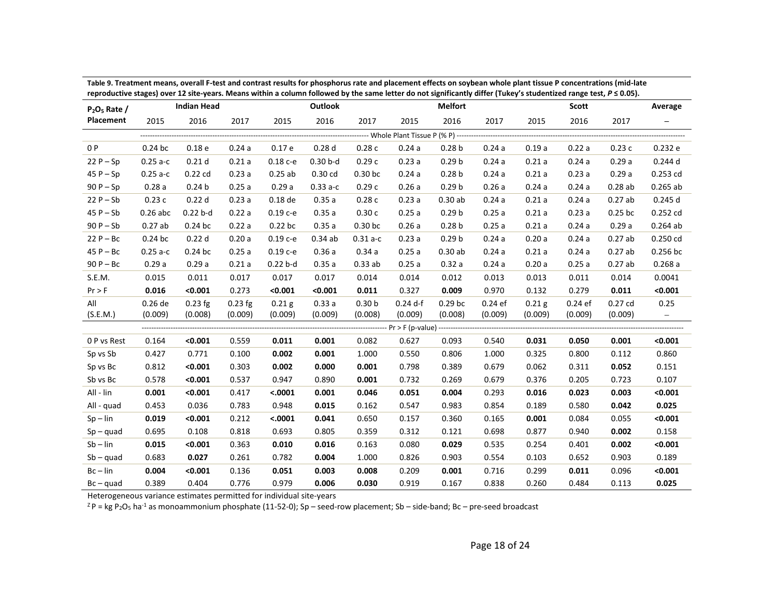| reproductive stages) over 12 site-years. Means within a column followed by the same letter do not significantly differ (fukey s studentized range test, P S 0.05).<br>$P_2O_5$ Rate / |            | <b>Indian Head</b> |           |                   | Outlook           |                   |            | <b>Melfort</b>    |           |                   | Scott     |           | Average                  |
|---------------------------------------------------------------------------------------------------------------------------------------------------------------------------------------|------------|--------------------|-----------|-------------------|-------------------|-------------------|------------|-------------------|-----------|-------------------|-----------|-----------|--------------------------|
| Placement                                                                                                                                                                             | 2015       | 2016               | 2017      | 2015              | 2016              | 2017              | 2015       | 2016              | 2017      | 2015              | 2016      | 2017      | -                        |
|                                                                                                                                                                                       |            |                    |           |                   |                   |                   |            |                   |           |                   |           |           |                          |
| 0 P                                                                                                                                                                                   | $0.24$ bc  | 0.18 <sub>e</sub>  | 0.24a     | 0.17e             | 0.28 <sub>d</sub> | 0.28c             | 0.24a      | 0.28 <sub>b</sub> | 0.24a     | 0.19a             | 0.22a     | 0.23c     | 0.232e                   |
| $22P-Sp$                                                                                                                                                                              | $0.25a-c$  | 0.21 <sub>d</sub>  | 0.21a     | $0.18c - e$       | $0.30b-d$         | 0.29c             | 0.23a      | 0.29 <sub>b</sub> | 0.24a     | 0.21a             | 0.24a     | 0.29a     | $0.244$ d                |
| $45P - Sp$                                                                                                                                                                            | $0.25a-c$  | $0.22$ cd          | 0.23a     | 0.25ab            | $0.30$ cd         | $0.30$ bc         | 0.24a      | 0.28 <sub>b</sub> | 0.24a     | 0.21a             | 0.23a     | 0.29a     | 0.253 cd                 |
| $90P-Sp$                                                                                                                                                                              | 0.28a      | 0.24 <sub>b</sub>  | 0.25a     | 0.29a             | $0.33a-c$         | 0.29c             | 0.26a      | 0.29 <sub>b</sub> | 0.26a     | 0.24a             | 0.24a     | 0.28ab    | $0.265$ ab               |
| $22P - Sb$                                                                                                                                                                            | 0.23c      | 0.22d              | 0.23a     | $0.18$ de         | 0.35a             | 0.28c             | 0.23a      | 0.30ab            | 0.24a     | 0.21a             | 0.24a     | 0.27ab    | 0.245 d                  |
| $45P-Sb$                                                                                                                                                                              | $0.26$ abc | $0.22 b-d$         | 0.22a     | $0.19c - e$       | 0.35a             | 0.30c             | 0.25a      | 0.29 <sub>b</sub> | 0.25a     | 0.21a             | 0.23a     | $0.25$ bc | 0.252 cd                 |
| $90P - Sb$                                                                                                                                                                            | 0.27ab     | $0.24$ bc          | 0.22a     | 0.22 bc           | 0.35a             | $0.30$ bc         | 0.26a      | 0.28 <sub>b</sub> | 0.25a     | 0.21a             | 0.24a     | 0.29a     | $0.264$ ab               |
| $22P - BC$                                                                                                                                                                            | $0.24$ bc  | 0.22d              | 0.20a     | $0.19c - e$       | 0.34ab            | $0.31 a-c$        | 0.23a      | 0.29 <sub>b</sub> | 0.24a     | 0.20a             | 0.24a     | 0.27ab    | 0.250 cd                 |
| $45P - BC$                                                                                                                                                                            | $0.25a-c$  | $0.24$ bc          | 0.25a     | 0.19 с-е          | 0.36a             | 0.34a             | 0.25a      | 0.30ab            | 0.24a     | 0.21a             | 0.24a     | 0.27ab    | $0.256$ bc               |
| $90P - BC$                                                                                                                                                                            | 0.29a      | 0.29a              | 0.21a     | $0.22 b-d$        | 0.35a             | 0.33ab            | 0.25a      | 0.32a             | 0.24a     | 0.20a             | 0.25a     | 0.27ab    | 0.268a                   |
| S.E.M.                                                                                                                                                                                | 0.015      | 0.011              | 0.017     | 0.017             | 0.017             | 0.014             | 0.014      | 0.012             | 0.013     | 0.013             | 0.011     | 0.014     | 0.0041                   |
| Pr > F                                                                                                                                                                                | 0.016      | < 0.001            | 0.273     | < 0.001           | < 0.001           | 0.011             | 0.327      | 0.009             | 0.970     | 0.132             | 0.279     | 0.011     | < 0.001                  |
| All                                                                                                                                                                                   | 0.26 de    | $0.23$ fg          | $0.23$ fg | 0.21 <sub>g</sub> | 0.33a             | 0.30 <sub>b</sub> | $0.24$ d-f | $0.29$ bc         | $0.24$ ef | 0.21 <sub>g</sub> | $0.24$ ef | $0.27$ cd | 0.25                     |
| (S.E.M.)                                                                                                                                                                              | (0.009)    | (0.008)            | (0.009)   | (0.009)           | (0.009)           | (0.008)           | (0.009)    | (0.008)           | (0.009)   | (0.009)           | (0.009)   | (0.009)   | $\overline{\phantom{m}}$ |
|                                                                                                                                                                                       |            |                    |           |                   |                   |                   |            |                   |           |                   |           |           |                          |
| 0 P vs Rest                                                                                                                                                                           | 0.164      | < 0.001            | 0.559     | 0.011             | 0.001             | 0.082             | 0.627      | 0.093             | 0.540     | 0.031             | 0.050     | 0.001     | < 0.001                  |
| Sp vs Sb                                                                                                                                                                              | 0.427      | 0.771              | 0.100     | 0.002             | 0.001             | 1.000             | 0.550      | 0.806             | 1.000     | 0.325             | 0.800     | 0.112     | 0.860                    |
| Sp vs Bc                                                                                                                                                                              | 0.812      | < 0.001            | 0.303     | 0.002             | 0.000             | 0.001             | 0.798      | 0.389             | 0.679     | 0.062             | 0.311     | 0.052     | 0.151                    |
| Sb vs Bc                                                                                                                                                                              | 0.578      | < 0.001            | 0.537     | 0.947             | 0.890             | 0.001             | 0.732      | 0.269             | 0.679     | 0.376             | 0.205     | 0.723     | 0.107                    |
| All - lin                                                                                                                                                                             | 0.001      | < 0.001            | 0.417     | < .0001           | 0.001             | 0.046             | 0.051      | 0.004             | 0.293     | 0.016             | 0.023     | 0.003     | < 0.001                  |
| All - quad                                                                                                                                                                            | 0.453      | 0.036              | 0.783     | 0.948             | 0.015             | 0.162             | 0.547      | 0.983             | 0.854     | 0.189             | 0.580     | 0.042     | 0.025                    |
| $Sp - lin$                                                                                                                                                                            | 0.019      | < 0.001            | 0.212     | < .0001           | 0.041             | 0.650             | 0.157      | 0.360             | 0.165     | 0.001             | 0.084     | 0.055     | < 0.001                  |
| $Sp - quad$                                                                                                                                                                           | 0.695      | 0.108              | 0.818     | 0.693             | 0.805             | 0.359             | 0.312      | 0.121             | 0.698     | 0.877             | 0.940     | 0.002     | 0.158                    |
| $Sb$ – $lin$                                                                                                                                                                          | 0.015      | < 0.001            | 0.363     | 0.010             | 0.016             | 0.163             | 0.080      | 0.029             | 0.535     | 0.254             | 0.401     | 0.002     | < 0.001                  |
| $Sb - quad$                                                                                                                                                                           | 0.683      | 0.027              | 0.261     | 0.782             | 0.004             | 1.000             | 0.826      | 0.903             | 0.554     | 0.103             | 0.652     | 0.903     | 0.189                    |
| $Bc - lin$                                                                                                                                                                            | 0.004      | < 0.001            | 0.136     | 0.051             | 0.003             | 0.008             | 0.209      | 0.001             | 0.716     | 0.299             | 0.011     | 0.096     | < 0.001                  |
| $Bc - quad$                                                                                                                                                                           | 0.389      | 0.404              | 0.776     | 0.979             | 0.006             | 0.030             | 0.919      | 0.167             | 0.838     | 0.260             | 0.484     | 0.113     | 0.025                    |

**Table 9. Treatment means, overall F-test and contrast results for phosphorus rate and placement effects on soybean whole plant tissue P concentrations (mid-late reproductive stages) over 12 site-years. Means within a column followed by the same letter do not significantly differ (Tukey's studentized range test,** *P* **≤ 0.05).**

Heterogeneous variance estimates permitted for individual site-years

 $ZP = kg P_2O_5$  ha<sup>-1</sup> as monoammonium phosphate (11-52-0); Sp – seed-row placement; Sb – side-band; Bc – pre-seed broadcast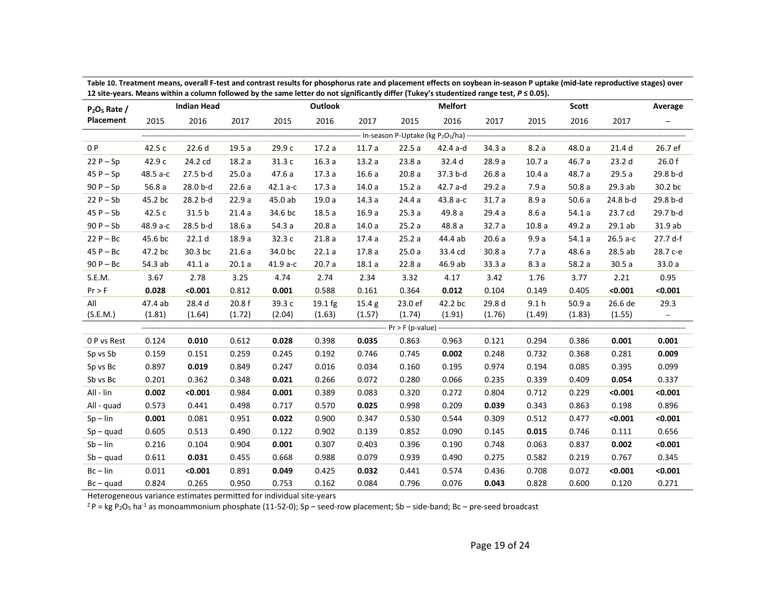| $P2O5$ Rate / |          | <b>Indian Head</b> |        |            | Outlook   |                   |                                                | <b>Melfort</b> |        |                  | <b>Scott</b> |                   | Average                  |
|---------------|----------|--------------------|--------|------------|-----------|-------------------|------------------------------------------------|----------------|--------|------------------|--------------|-------------------|--------------------------|
| Placement     | 2015     | 2016               | 2017   | 2015       | 2016      | 2017              | 2015                                           | 2016           | 2017   | 2015             | 2016         | 2017              | -                        |
|               |          |                    |        |            |           |                   | - In-season P-Uptake (kg P2O <sub>5</sub> /ha) |                |        |                  |              |                   |                          |
| 0 P           | 42.5 c   | 22.6d              | 19.5a  | 29.9 c     | 17.2a     | 11.7a             | 22.5a                                          | 42.4 a-d       | 34.3 a | 8.2a             | 48.0 a       | 21.4 d            | 26.7 ef                  |
| $22P - Sp$    | 42.9 c   | 24.2 cd            | 18.2a  | 31.3c      | 16.3a     | 13.2a             | 23.8a                                          | 32.4 d         | 28.9 a | 10.7a            | 46.7 a       | 23.2 <sub>d</sub> | 26.0 f                   |
| $45P-Sp$      | 48.5 a-c | 27.5 b-d           | 25.0a  | 47.6 a     | 17.3a     | 16.6a             | 20.8a                                          | 37.3 b-d       | 26.8a  | 10.4a            | 48.7 a       | 29.5 a            | 29.8 b-d                 |
| $90P - Sp$    | 56.8a    | 28.0 b-d           | 22.6a  | $42.1 a-c$ | 17.3a     | 14.0a             | 15.2a                                          | 42.7 a-d       | 29.2a  | 7.9 a            | 50.8a        | 29.3 ab           | 30.2 bc                  |
| $22P - Sb$    | 45.2 bc  | 28.2 b-d           | 22.9a  | 45.0 ab    | 19.0a     | 14.3a             | 24.4a                                          | 43.8 a-c       | 31.7a  | 8.9a             | 50.6a        | 24.8 b-d          | 29.8 b-d                 |
| $45P-Sb$      | 42.5 c   | 31.5 b             | 21.4a  | 34.6 bc    | 18.5a     | 16.9a             | 25.3a                                          | 49.8 a         | 29.4 a | 8.6a             | 54.1a        | 23.7 cd           | 29.7 b-d                 |
| $90P - Sb$    | 48.9 a-c | 28.5 b-d           | 18.6a  | 54.3 a     | 20.8a     | 14.0a             | 25.2a                                          | 48.8 a         | 32.7a  | 10.8a            | 49.2 a       | 29.1ab            | 31.9 ab                  |
| $22P - BC$    | 45.6 bc  | 22.1 <sub>d</sub>  | 18.9a  | 32.3 c     | 21.8a     | 17.4a             | 25.2a                                          | 44.4 ab        | 20.6a  | 9.9a             | 54.1a        | $26.5a-c$         | 27.7 d-f                 |
| $45P - BC$    | 47.2 bc  | 30.3 bc            | 21.6a  | 34.0 bc    | 22.1a     | 17.8a             | 25.0a                                          | 33.4 cd        | 30.8a  | 7.7a             | 48.6 a       | 28.5 ab           | 28.7 с-е                 |
| $90P - BC$    | 54.3 ab  | 41.1a              | 20.1a  | 41.9 a-c   | 20.7a     | 18.1a             | 22.8a                                          | 46.9 ab        | 33.3a  | 8.3a             | 58.2 a       | 30.5a             | 33.0 a                   |
| S.E.M.        | 3.67     | 2.78               | 3.25   | 4.74       | 2.74      | 2.34              | 3.32                                           | 4.17           | 3.42   | 1.76             | 3.77         | 2.21              | 0.95                     |
| Pr > F        | 0.028    | < 0.001            | 0.812  | 0.001      | 0.588     | 0.161             | 0.364                                          | 0.012          | 0.104  | 0.149            | 0.405        | < 0.001           | < 0.001                  |
| All           | 47.4 ab  | 28.4 d             | 20.8f  | 39.3 c     | $19.1$ fg | 15.4 <sub>g</sub> | 23.0 ef                                        | 42.2 bc        | 29.8 d | 9.1 <sub>h</sub> | 50.9a        | 26.6 de           | 29.3                     |
| (S.E.M.)      | (1.81)   | (1.64)             | (1.72) | (2.04)     | (1.63)    | (1.57)            | (1.74)                                         | (1.91)         | (1.76) | (1.49)           | (1.83)       | (1.55)            | $\overline{\phantom{m}}$ |
|               |          |                    |        |            |           |                   |                                                |                |        |                  |              |                   |                          |
| 0 P vs Rest   | 0.124    | 0.010              | 0.612  | 0.028      | 0.398     | 0.035             | 0.863                                          | 0.963          | 0.121  | 0.294            | 0.386        | 0.001             | 0.001                    |
| Sp vs Sb      | 0.159    | 0.151              | 0.259  | 0.245      | 0.192     | 0.746             | 0.745                                          | 0.002          | 0.248  | 0.732            | 0.368        | 0.281             | 0.009                    |
| Sp vs Bc      | 0.897    | 0.019              | 0.849  | 0.247      | 0.016     | 0.034             | 0.160                                          | 0.195          | 0.974  | 0.194            | 0.085        | 0.395             | 0.099                    |
| Sb vs Bc      | 0.201    | 0.362              | 0.348  | 0.021      | 0.266     | 0.072             | 0.280                                          | 0.066          | 0.235  | 0.339            | 0.409        | 0.054             | 0.337                    |
| All - lin     | 0.002    | < 0.001            | 0.984  | 0.001      | 0.389     | 0.083             | 0.320                                          | 0.272          | 0.804  | 0.712            | 0.229        | < 0.001           | < 0.001                  |
| All - quad    | 0.573    | 0.441              | 0.498  | 0.717      | 0.570     | 0.025             | 0.998                                          | 0.209          | 0.039  | 0.343            | 0.863        | 0.198             | 0.896                    |
| $Sp - lin$    | 0.001    | 0.081              | 0.951  | 0.022      | 0.900     | 0.347             | 0.530                                          | 0.544          | 0.309  | 0.512            | 0.477        | < 0.001           | < 0.001                  |
| $Sp - quad$   | 0.605    | 0.513              | 0.490  | 0.122      | 0.902     | 0.139             | 0.852                                          | 0.090          | 0.145  | 0.015            | 0.746        | 0.111             | 0.656                    |
| $Sb$ – $lin$  | 0.216    | 0.104              | 0.904  | 0.001      | 0.307     | 0.403             | 0.396                                          | 0.190          | 0.748  | 0.063            | 0.837        | 0.002             | < 0.001                  |
| $Sb - quad$   | 0.611    | 0.031              | 0.455  | 0.668      | 0.988     | 0.079             | 0.939                                          | 0.490          | 0.275  | 0.582            | 0.219        | 0.767             | 0.345                    |
| $Bc - lin$    | 0.011    | < 0.001            | 0.891  | 0.049      | 0.425     | 0.032             | 0.441                                          | 0.574          | 0.436  | 0.708            | 0.072        | < 0.001           | < 0.001                  |
| $Bc - quad$   | 0.824    | 0.265              | 0.950  | 0.753      | 0.162     | 0.084             | 0.796                                          | 0.076          | 0.043  | 0.828            | 0.600        | 0.120             | 0.271                    |

**Table 10. Treatment means, overall F-test and contrast results for phosphorus rate and placement effects on soybean in-season P uptake (mid-late reproductive stages) over 12 site-years. Means within a column followed by the same letter do not significantly differ (Tukey's studentized range test,** *P* **≤ 0.05).**

Heterogeneous variance estimates permitted for individual site-years

 $ZP = kg P_2O_5$  ha<sup>-1</sup> as monoammonium phosphate (11-52-0); Sp – seed-row placement; Sb – side-band; Bc – pre-seed broadcast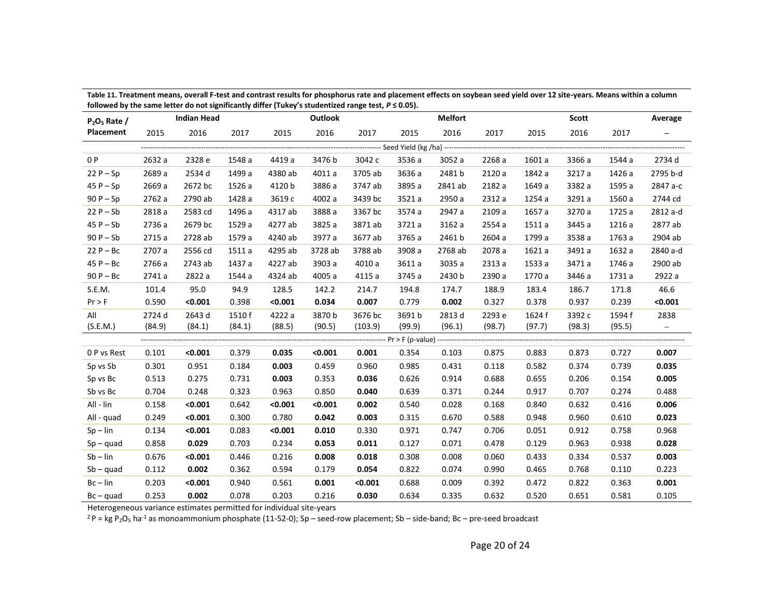| <u>1010 wed by the same letter do not significantly uniter (Tukey 3 studentized range test, F 3 0.03).</u><br>$P_2O_5$ Rate / |        | <b>Indian Head</b> |        |         | Outlook |         |        | <b>Melfort</b> |        |        |        | Average |                          |
|-------------------------------------------------------------------------------------------------------------------------------|--------|--------------------|--------|---------|---------|---------|--------|----------------|--------|--------|--------|---------|--------------------------|
| Placement                                                                                                                     | 2015   | 2016               | 2017   | 2015    | 2016    | 2017    | 2015   | 2016           | 2017   | 2015   | 2016   | 2017    |                          |
|                                                                                                                               |        |                    |        |         |         |         |        |                |        |        |        |         |                          |
| 0 P                                                                                                                           | 2632 a | 2328 e             | 1548 a | 4419 a  | 3476 b  | 3042 c  | 3536 a | 3052 a         | 2268 a | 1601 a | 3366 a | 1544 a  | 2734 d                   |
| $22P - Sp$                                                                                                                    | 2689 a | 2534 d             | 1499 a | 4380 ab | 4011 a  | 3705 ab | 3636 a | 2481 b         | 2120 a | 1842 a | 3217 a | 1426 a  | 2795 b-d                 |
| $45P - Sp$                                                                                                                    | 2669 a | 2672 bc            | 1526 a | 4120 b  | 3886 a  | 3747 ab | 3895 a | 2841 ab        | 2182 a | 1649 a | 3382 a | 1595 a  | 2847 a-c                 |
| $90P-Sp$                                                                                                                      | 2762 a | 2790 ab            | 1428 a | 3619 с  | 4002 a  | 3439 bc | 3521 a | 2950 a         | 2312 a | 1254 a | 3291 a | 1560 a  | 2744 cd                  |
| $22P-Sb$                                                                                                                      | 2818 a | 2583 cd            | 1496 a | 4317 ab | 3888 a  | 3367 bc | 3574 a | 2947 a         | 2109 a | 1657 a | 3270 a | 1725 a  | 2812 a-d                 |
| $45P-Sb$                                                                                                                      | 2736 a | 2679 bc            | 1529 a | 4277 ab | 3825 a  | 3871 ab | 3721 a | 3162 a         | 2554 a | 1511 a | 3445 a | 1216 a  | 2877 ab                  |
| $90P - Sb$                                                                                                                    | 2715 a | 2728 ab            | 1579 a | 4240 ab | 3977 a  | 3677 ab | 3765 a | 2461 b         | 2604 a | 1799 a | 3538 a | 1763 a  | 2904 ab                  |
| $22P - BC$                                                                                                                    | 2707 a | 2556 cd            | 1511 a | 4295 ab | 3728 ab | 3788 ab | 3908 a | 2768 ab        | 2078 a | 1621 a | 3491 a | 1632 a  | 2840 a-d                 |
| $45P - BC$                                                                                                                    | 2766 a | 2743 ab            | 1437 a | 4227 ab | 3903 a  | 4010 a  | 3611 a | 3035 a         | 2313 a | 1533 a | 3471 a | 1746 a  | 2900 ab                  |
| $90P - BC$                                                                                                                    | 2741 a | 2822 a             | 1544 a | 4324 ab | 4005 a  | 4115 a  | 3745 a | 2430 b         | 2390 a | 1770 a | 3446 a | 1731 a  | 2922 a                   |
| S.E.M.                                                                                                                        | 101.4  | 95.0               | 94.9   | 128.5   | 142.2   | 214.7   | 194.8  | 174.7          | 188.9  | 183.4  | 186.7  | 171.8   | 46.6                     |
| Pr > F                                                                                                                        | 0.590  | < 0.001            | 0.398  | < 0.001 | 0.034   | 0.007   | 0.779  | 0.002          | 0.327  | 0.378  | 0.937  | 0.239   | < 0.001                  |
| All                                                                                                                           | 2724 d | 2643 d             | 1510 f | 4222 a  | 3870 b  | 3676 bc | 3691b  | 2813 d         | 2293 e | 1624 f | 3392 c | 1594 f  | 2838                     |
| (S.E.M.)                                                                                                                      | (84.9) | (84.1)             | (84.1) | (88.5)  | (90.5)  | (103.9) | (99.9) | (96.1)         | (98.7) | (97.7) | (98.3) | (95.5)  | $\overline{\phantom{m}}$ |
|                                                                                                                               |        |                    |        |         |         |         |        |                |        |        |        |         |                          |
| 0 P vs Rest                                                                                                                   | 0.101  | < 0.001            | 0.379  | 0.035   | < 0.001 | 0.001   | 0.354  | 0.103          | 0.875  | 0.883  | 0.873  | 0.727   | 0.007                    |
| Sp vs Sb                                                                                                                      | 0.301  | 0.951              | 0.184  | 0.003   | 0.459   | 0.960   | 0.985  | 0.431          | 0.118  | 0.582  | 0.374  | 0.739   | 0.035                    |
| Sp vs Bc                                                                                                                      | 0.513  | 0.275              | 0.731  | 0.003   | 0.353   | 0.036   | 0.626  | 0.914          | 0.688  | 0.655  | 0.206  | 0.154   | 0.005                    |
| Sb vs Bc                                                                                                                      | 0.704  | 0.248              | 0.323  | 0.963   | 0.850   | 0.040   | 0.639  | 0.371          | 0.244  | 0.917  | 0.707  | 0.274   | 0.488                    |
| All - lin                                                                                                                     | 0.158  | < 0.001            | 0.642  | < 0.001 | < 0.001 | 0.002   | 0.540  | 0.028          | 0.168  | 0.840  | 0.632  | 0.416   | 0.006                    |
| All - quad                                                                                                                    | 0.249  | < 0.001            | 0.300  | 0.780   | 0.042   | 0.003   | 0.315  | 0.670          | 0.588  | 0.948  | 0.960  | 0.610   | 0.023                    |
| $Sp - lin$                                                                                                                    | 0.134  | < 0.001            | 0.083  | < 0.001 | 0.010   | 0.330   | 0.971  | 0.747          | 0.706  | 0.051  | 0.912  | 0.758   | 0.968                    |
| $Sp - quad$                                                                                                                   | 0.858  | 0.029              | 0.703  | 0.234   | 0.053   | 0.011   | 0.127  | 0.071          | 0.478  | 0.129  | 0.963  | 0.938   | 0.028                    |
| $Sb$ – $lin$                                                                                                                  | 0.676  | < 0.001            | 0.446  | 0.216   | 0.008   | 0.018   | 0.308  | 0.008          | 0.060  | 0.433  | 0.334  | 0.537   | 0.003                    |
| $Sb - quad$                                                                                                                   | 0.112  | 0.002              | 0.362  | 0.594   | 0.179   | 0.054   | 0.822  | 0.074          | 0.990  | 0.465  | 0.768  | 0.110   | 0.223                    |
| $Bc - lin$                                                                                                                    | 0.203  | < 0.001            | 0.940  | 0.561   | 0.001   | < 0.001 | 0.688  | 0.009          | 0.392  | 0.472  | 0.822  | 0.363   | 0.001                    |
| $Bc - quad$                                                                                                                   | 0.253  | 0.002              | 0.078  | 0.203   | 0.216   | 0.030   | 0.634  | 0.335          | 0.632  | 0.520  | 0.651  | 0.581   | 0.105                    |

**Table 11. Treatment means, overall F-test and contrast results for phosphorus rate and placement effects on soybean seed yield over 12 site-years. Means within a column followed by the same letter do not significantly differ (Tukey's studentized range test,** *P* **≤ 0.05).**

Heterogeneous variance estimates permitted for individual site-years

 $Z^2P = kg P_2O_5$  ha<sup>-1</sup> as monoammonium phosphate (11-52-0); Sp – seed-row placement; Sb – side-band; Bc – pre-seed broadcast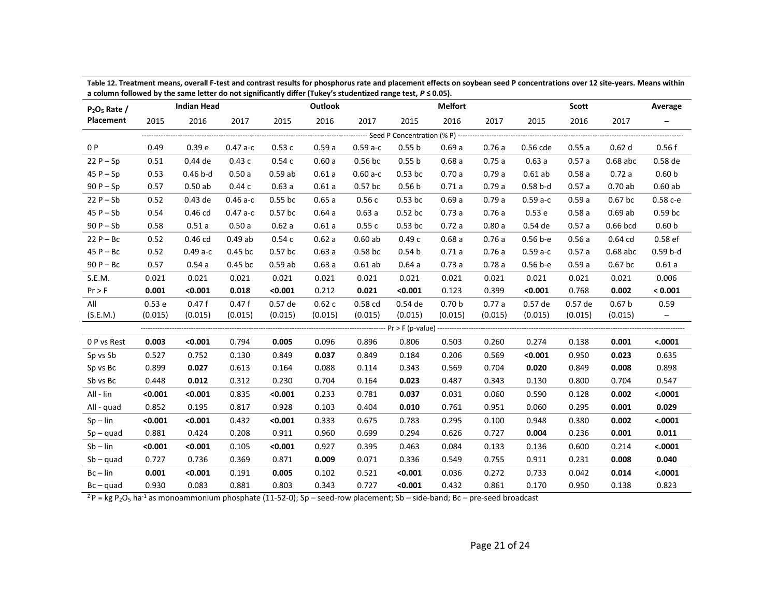| $P_2O_5$ Rate / |         | <b>Indian Head</b> |           |           | Outlook |           |                   | <b>Melfort</b>                         |         |              | <b>Scott</b> |                   | Average           |
|-----------------|---------|--------------------|-----------|-----------|---------|-----------|-------------------|----------------------------------------|---------|--------------|--------------|-------------------|-------------------|
| Placement       | 2015    | 2016               | 2017      | 2015      | 2016    | 2017      | 2015              | 2016                                   | 2017    | 2015         | 2016         | 2017              | -                 |
|                 |         |                    |           |           |         |           |                   | --- Seed P Concentration (% P) ------- |         |              |              |                   |                   |
| 0 P             | 0.49    | 0.39 e             | $0.47a-c$ | 0.53c     | 0.59a   | $0.59a-c$ | 0.55 <sub>b</sub> | 0.69a                                  | 0.76a   | 0.56 cde     | 0.55a        | 0.62d             | 0.56f             |
| $22P - Sp$      | 0.51    | 0.44 de            | 0.43c     | 0.54c     | 0.60a   | $0.56$ bc | 0.55 <sub>b</sub> | 0.68a                                  | 0.75a   | 0.63a        | 0.57a        | $0.68$ abc        | 0.58 de           |
| $45P-Sp$        | 0.53    | $0.46b-d$          | 0.50a     | 0.59ab    | 0.61a   | $0.60a-c$ | $0.53$ bc         | 0.70a                                  | 0.79a   | $0.61$ ab    | 0.58a        | 0.72a             | 0.60 <sub>b</sub> |
| $90P - Sp$      | 0.57    | 0.50ab             | 0.44c     | 0.63a     | 0.61a   | $0.57$ bc | 0.56 <sub>b</sub> | 0.71a                                  | 0.79a   | $0.58b-d$    | 0.57a        | 0.70ab            | 0.60ab            |
| $22P - Sb$      | 0.52    | 0.43 de            | $0.46a-c$ | $0.55$ bc | 0.65a   | 0.56c     | $0.53$ bc         | 0.69a                                  | 0.79a   | $0.59a-c$    | 0.59a        | $0.67$ bc         | $0.58c - e$       |
| $45P-Sb$        | 0.54    | 0.46 cd            | $0.47a-c$ | $0.57$ bc | 0.64a   | 0.63a     | $0.52$ bc         | 0.73a                                  | 0.76a   | 0.53 e       | 0.58a        | $0.69$ ab         | 0.59 bc           |
| $90P - Sb$      | 0.58    | 0.51a              | 0.50a     | 0.62a     | 0.61a   | 0.55c     | $0.53$ bc         | 0.72a                                  | 0.80a   | 0.54 de      | 0.57a        | 0.66 bcd          | 0.60 <sub>b</sub> |
| $22P - BC$      | 0.52    | 0.46 cd            | 0.49ab    | 0.54c     | 0.62a   | 0.60ab    | 0.49c             | 0.68a                                  | 0.76a   | $0.56 b - e$ | 0.56a        | $0.64$ cd         | 0.58 ef           |
| $45P - BC$      | 0.52    | $0.49a-c$          | $0.45$ bc | $0.57$ bc | 0.63a   | $0.58$ bc | 0.54 <sub>b</sub> | 0.71a                                  | 0.76a   | $0.59a-c$    | 0.57a        | $0.68$ abc        | $0.59 b-d$        |
| $90P - BC$      | 0.57    | 0.54a              | 0.45 bc   | 0.59ab    | 0.63a   | $0.61$ ab | 0.64a             | 0.73a                                  | 0.78a   | $0.56 b - e$ | 0.59a        | $0.67$ bc         | 0.61a             |
| S.E.M.          | 0.021   | 0.021              | 0.021     | 0.021     | 0.021   | 0.021     | 0.021             | 0.021                                  | 0.021   | 0.021        | 0.021        | 0.021             | 0.006             |
| Pr > F          | 0.001   | < 0.001            | 0.018     | < 0.001   | 0.212   | 0.021     | < 0.001           | 0.123                                  | 0.399   | < 0.001      | 0.768        | 0.002             | < 0.001           |
| All             | 0.53e   | 0.47f              | 0.47f     | 0.57 de   | 0.62c   | 0.58 cd   | 0.54 de           | 0.70 <sub>b</sub>                      | 0.77a   | 0.57 de      | 0.57 de      | 0.67 <sub>b</sub> | 0.59              |
| (S.E.M.)        | (0.015) | (0.015)            | (0.015)   | (0.015)   | (0.015) | (0.015)   | (0.015)           | (0.015)                                | (0.015) | (0.015)      | (0.015)      | (0.015)           | $-$               |
|                 |         |                    |           |           |         |           |                   |                                        |         |              |              |                   |                   |
| 0 P vs Rest     | 0.003   | < 0.001            | 0.794     | 0.005     | 0.096   | 0.896     | 0.806             | 0.503                                  | 0.260   | 0.274        | 0.138        | 0.001             | < .0001           |
| Sp vs Sb        | 0.527   | 0.752              | 0.130     | 0.849     | 0.037   | 0.849     | 0.184             | 0.206                                  | 0.569   | < 0.001      | 0.950        | 0.023             | 0.635             |
| Sp vs Bc        | 0.899   | 0.027              | 0.613     | 0.164     | 0.088   | 0.114     | 0.343             | 0.569                                  | 0.704   | 0.020        | 0.849        | 0.008             | 0.898             |
| Sb vs Bc        | 0.448   | 0.012              | 0.312     | 0.230     | 0.704   | 0.164     | 0.023             | 0.487                                  | 0.343   | 0.130        | 0.800        | 0.704             | 0.547             |
| All - lin       | < 0.001 | < 0.001            | 0.835     | < 0.001   | 0.233   | 0.781     | 0.037             | 0.031                                  | 0.060   | 0.590        | 0.128        | 0.002             | < .0001           |
| All - quad      | 0.852   | 0.195              | 0.817     | 0.928     | 0.103   | 0.404     | 0.010             | 0.761                                  | 0.951   | 0.060        | 0.295        | 0.001             | 0.029             |
| $Sp - lin$      | < 0.001 | < 0.001            | 0.432     | < 0.001   | 0.333   | 0.675     | 0.783             | 0.295                                  | 0.100   | 0.948        | 0.380        | 0.002             | < .0001           |
| $Sp - quad$     | 0.881   | 0.424              | 0.208     | 0.911     | 0.960   | 0.699     | 0.294             | 0.626                                  | 0.727   | 0.004        | 0.236        | 0.001             | 0.011             |
| $Sb$ – $lin$    | < 0.001 | < 0.001            | 0.105     | < 0.001   | 0.927   | 0.395     | 0.463             | 0.084                                  | 0.133   | 0.136        | 0.600        | 0.214             | < .0001           |
| $Sb - quad$     | 0.727   | 0.736              | 0.369     | 0.871     | 0.009   | 0.071     | 0.336             | 0.549                                  | 0.755   | 0.911        | 0.231        | 0.008             | 0.040             |
| $Bc - lin$      | 0.001   | < 0.001            | 0.191     | 0.005     | 0.102   | 0.521     | < 0.001           | 0.036                                  | 0.272   | 0.733        | 0.042        | 0.014             | < .0001           |
| $Bc - quad$     | 0.930   | 0.083              | 0.881     | 0.803     | 0.343   | 0.727     | < 0.001           | 0.432                                  | 0.861   | 0.170        | 0.950        | 0.138             | 0.823             |

**Table 12. Treatment means, overall F-test and contrast results for phosphorus rate and placement effects on soybean seed P concentrations over 12 site-years. Means within a column followed by the same letter do not significantly differ (Tukey's studentized range test,** *P* **≤ 0.05).**

 $\frac{Z}{Z}P = \frac{1}{2}$   $\frac{1}{2}$  as monoammonium phosphate (11-52-0); Sp – seed-row placement; Sb – side-band; Bc – pre-seed broadcast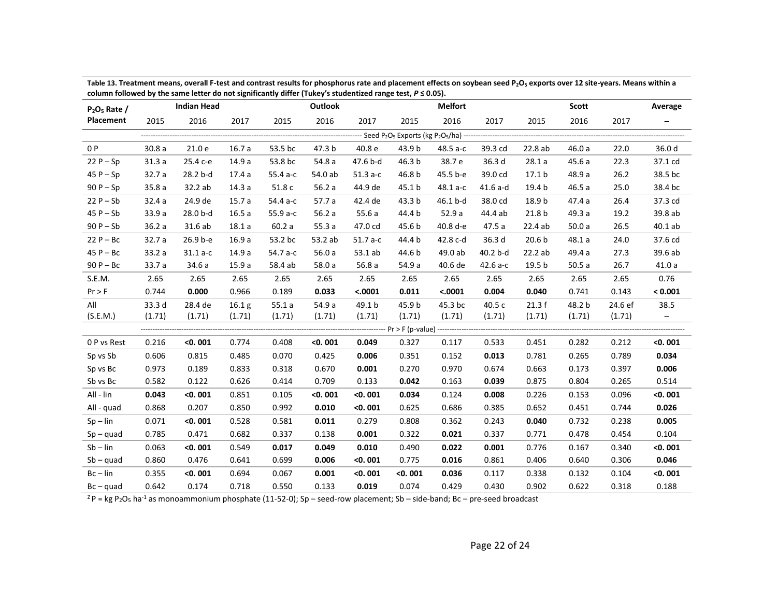| $P_2O_5$ Rate / |                 | <b>Indian Head</b> |                   |          | <b>Outlook</b> |           |                   | <b>Melfort</b> |            |                   | <b>Scott</b> |         | Average                  |  |
|-----------------|-----------------|--------------------|-------------------|----------|----------------|-----------|-------------------|----------------|------------|-------------------|--------------|---------|--------------------------|--|
| Placement       | 2015            | 2016               | 2017              | 2015     | 2016           | 2017      | 2015              | 2016           | 2017       | 2015              | 2016         | 2017    | $\qquad \qquad -$        |  |
|                 |                 |                    |                   |          |                |           |                   |                |            |                   |              |         |                          |  |
| 0 P             | 30.8a           | 21.0 e             | 16.7a             | 53.5 bc  | 47.3 b         | 40.8 e    | 43.9 b            | 48.5 a-c       | 39.3 cd    | 22.8 ab           | 46.0a        | 22.0    | 36.0 d                   |  |
| $22P-Sp$        | 31.3a           | 25.4 с-е           | 14.9a             | 53.8 bc  | 54.8 a         | 47.6 b-d  | 46.3 <sub>b</sub> | 38.7 e         | 36.3 d     | 28.1a             | 45.6a        | 22.3    | 37.1 cd                  |  |
| $45P-Sp$        | 32.7a           | 28.2 b-d           | 17.4a             | 55.4 a-c | 54.0 ab        | $51.3a-c$ | 46.8 b            | 45.5 b-e       | 39.0 cd    | 17.1 <sub>b</sub> | 48.9 a       | 26.2    | 38.5 bc                  |  |
| $90P-Sp$        | 35.8a           | 32.2 ab            | 14.3a             | 51.8 c   | 56.2a          | 44.9 de   | 45.1 b            | 48.1 a-c       | $41.6$ a-d | 19.4 b            | 46.5a        | 25.0    | 38.4 bc                  |  |
| $22P - Sb$      | 32.4a           | 24.9 de            | 15.7a             | 54.4 а-с | 57.7 a         | 42.4 de   | 43.3 b            | 46.1 b-d       | 38.0 cd    | 18.9 b            | 47.4a        | 26.4    | 37.3 cd                  |  |
| $45P-Sb$        | 33.9a           | 28.0 b-d           | 16.5a             | 55.9 a-c | 56.2a          | 55.6a     | 44.4 b            | 52.9a          | 44.4 ab    | 21.8 <sub>b</sub> | 49.3 a       | 19.2    | 39.8 ab                  |  |
| $90P - Sb$      | 36.2a           | 31.6 ab            | 18.1a             | 60.2a    | 55.3a          | 47.0 cd   | 45.6 b            | 40.8 d-e       | 47.5 a     | 22.4ab            | 50.0a        | 26.5    | 40.1ab                   |  |
| $22P - BC$      | 32.7a           | 26.9 b-e           | 16.9a             | 53.2 bc  | 53.2 ab        | $51.7a-c$ | 44.4 b            | 42.8 c-d       | 36.3 d     | 20.6 <sub>b</sub> | 48.1a        | 24.0    | 37.6 cd                  |  |
| $45P - BC$      | 33.2a           | $31.1 a-c$         | 14.9 a            | 54.7 a-c | 56.0a          | 53.1 ab   | 44.6 b            | 49.0 ab        | 40.2 b-d   | 22.2 ab           | 49.4 a       | 27.3    | 39.6 ab                  |  |
| $90P - BC$      | 33.7 a          | 34.6 a             | 15.9a             | 58.4 ab  | 58.0 a         | 56.8a     | 54.9 a            | 40.6 de        | 42.6 a-c   | 19.5 b            | 50.5a        | 26.7    | 41.0a                    |  |
| S.E.M.          | 2.65            | 2.65               | 2.65              | 2.65     | 2.65           | 2.65      | 2.65              | 2.65           | 2.65       | 2.65              | 2.65         | 2.65    | 0.76                     |  |
| Pr > F          | 0.744           | 0.000              | 0.966             | 0.189    | 0.033          | < .0001   | 0.011             | < .0001        | 0.004      | 0.040             | 0.741        | 0.143   | < 0.001                  |  |
| All             | 33.3 d          | 28.4 de            | 16.1 <sub>g</sub> | 55.1a    | 54.9 a         | 49.1 b    | 45.9 b            | 45.3 bc        | 40.5 c     | 21.3f             | 48.2 b       | 24.6 ef | 38.5                     |  |
| (S.E.M.)        | (1.71)          | (1.71)             | (1.71)            | (1.71)   | (1.71)         | (1.71)    | (1.71)            | (1.71)         | (1.71)     | (1.71)            | (1.71)       | (1.71)  | $\overline{\phantom{m}}$ |  |
|                 | --------------- |                    |                   |          |                |           |                   |                |            |                   |              |         |                          |  |
| 0 P vs Rest     | 0.216           | < 0.001            | 0.774             | 0.408    | $<$ 0.001      | 0.049     | 0.327             | 0.117          | 0.533      | 0.451             | 0.282        | 0.212   | < 0.001                  |  |
| Sp vs Sb        | 0.606           | 0.815              | 0.485             | 0.070    | 0.425          | 0.006     | 0.351             | 0.152          | 0.013      | 0.781             | 0.265        | 0.789   | 0.034                    |  |
| Sp vs Bc        | 0.973           | 0.189              | 0.833             | 0.318    | 0.670          | 0.001     | 0.270             | 0.970          | 0.674      | 0.663             | 0.173        | 0.397   | 0.006                    |  |
| Sb vs Bc        | 0.582           | 0.122              | 0.626             | 0.414    | 0.709          | 0.133     | 0.042             | 0.163          | 0.039      | 0.875             | 0.804        | 0.265   | 0.514                    |  |
| All - lin       | 0.043           | < 0.001            | 0.851             | 0.105    | $<$ 0.001      | $<$ 0.001 | 0.034             | 0.124          | 0.008      | 0.226             | 0.153        | 0.096   | < 0.001                  |  |
| All - quad      | 0.868           | 0.207              | 0.850             | 0.992    | 0.010          | $<$ 0.001 | 0.625             | 0.686          | 0.385      | 0.652             | 0.451        | 0.744   | 0.026                    |  |
| $Sp - lin$      | 0.071           | < 0.001            | 0.528             | 0.581    | 0.011          | 0.279     | 0.808             | 0.362          | 0.243      | 0.040             | 0.732        | 0.238   | 0.005                    |  |
| $Sp - quad$     | 0.785           | 0.471              | 0.682             | 0.337    | 0.138          | 0.001     | 0.322             | 0.021          | 0.337      | 0.771             | 0.478        | 0.454   | 0.104                    |  |
| $Sb$ – $lin$    | 0.063           | < 0.001            | 0.549             | 0.017    | 0.049          | 0.010     | 0.490             | 0.022          | 0.001      | 0.776             | 0.167        | 0.340   | < 0.001                  |  |
| $Sb - quad$     | 0.860           | 0.476              | 0.641             | 0.699    | 0.006          | $<$ 0.001 | 0.775             | 0.016          | 0.861      | 0.406             | 0.640        | 0.306   | 0.046                    |  |
| $Bc - lin$      | 0.355           | < 0.001            | 0.694             | 0.067    | 0.001          | $<$ 0.001 | < 0.001           | 0.036          | 0.117      | 0.338             | 0.132        | 0.104   | < 0.001                  |  |
| $Bc - quad$     | 0.642           | 0.174              | 0.718             | 0.550    | 0.133          | 0.019     | 0.074             | 0.429          | 0.430      | 0.902             | 0.622        | 0.318   | 0.188                    |  |

**Table 13. Treatment means, overall F-test and contrast results for phosphorus rate and placement effects on soybean seed P2O<sup>5</sup> exports over 12 site-years. Means within a column followed by the same letter do not significantly differ (Tukey's studentized range test,** *P* **≤ 0.05).**

 $Z^2P = kg P_2O_5$  ha<sup>-1</sup> as monoammonium phosphate (11-52-0); Sp – seed-row placement; Sb – side-band; Bc – pre-seed broadcast